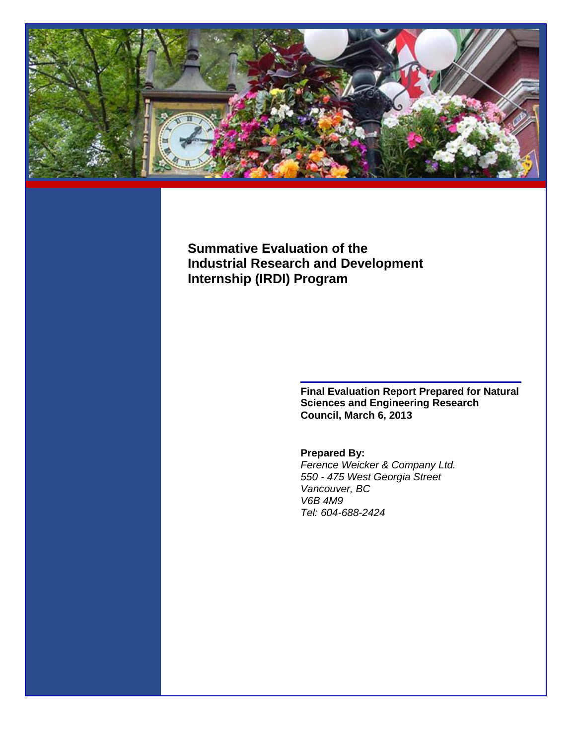

# **Summative Evaluation of the Industrial Research and Development Internship (IRDI) Program**

**Final Evaluation Report Prepared for Natural Sciences and Engineering Research Council, March 6, 2013**

# **Prepared By:**

*Ference Weicker & Company Ltd. 550 - 475 West Georgia Street Vancouver, BC V6B 4M9 Tel: 604-688-2424*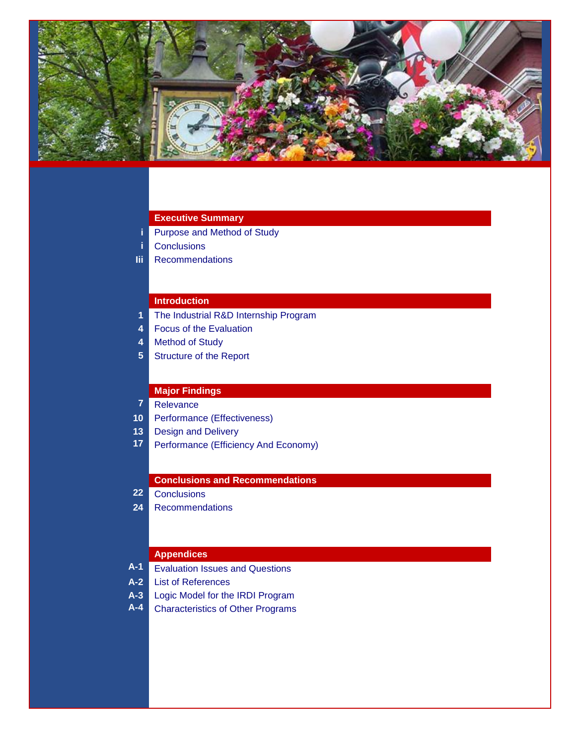

## **Executive Summary**

- **i** Purpose and Method of Study
- **i** Conclusions
- **Iii** Recommendations

# **Introduction**

- **1** The Industrial R&D Internship Program
- **4** Focus of the Evaluation
- **4** Method of Study
- **5** Structure of the Report

# **Major Findings**

- **7** Relevance
- **10** Performance (Effectiveness)
- **13** Design and Delivery
- **17** Performance (Efficiency And Economy)

#### **Conclusions and Recommendations**

# **22** Conclusions

**24** Recommendations

#### **Appendices**

- **A-1** Evaluation Issues and Questions
- **A-2** List of References
- **A-3** Logic Model for the IRDI Program
- **A-4** Characteristics of Other Programs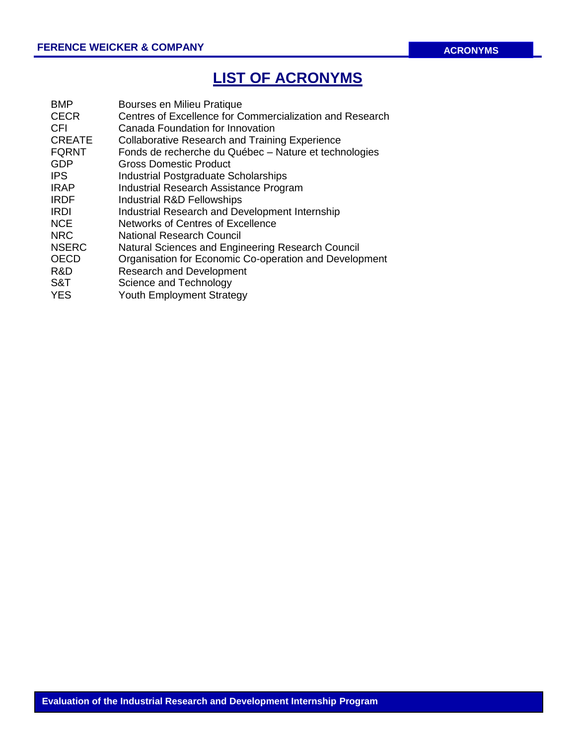# **LIST OF ACRONYMS**

| <b>BMP</b>    | Bourses en Milieu Pratique                               |
|---------------|----------------------------------------------------------|
| <b>CECR</b>   | Centres of Excellence for Commercialization and Research |
| CFI           | Canada Foundation for Innovation                         |
| <b>CREATE</b> | <b>Collaborative Research and Training Experience</b>    |
| <b>FQRNT</b>  | Fonds de recherche du Québec - Nature et technologies    |
| <b>GDP</b>    | Gross Domestic Product                                   |
| <b>IPS</b>    | Industrial Postgraduate Scholarships                     |
| <b>IRAP</b>   | Industrial Research Assistance Program                   |
| <b>IRDF</b>   | Industrial R&D Fellowships                               |
| <b>IRDI</b>   | Industrial Research and Development Internship           |
| <b>NCE</b>    | Networks of Centres of Excellence                        |
| <b>NRC</b>    | National Research Council                                |
| <b>NSERC</b>  | Natural Sciences and Engineering Research Council        |
| <b>OECD</b>   | Organisation for Economic Co-operation and Development   |
| R&D           | <b>Research and Development</b>                          |
| S&T           | Science and Technology                                   |
| <b>YES</b>    | <b>Youth Employment Strategy</b>                         |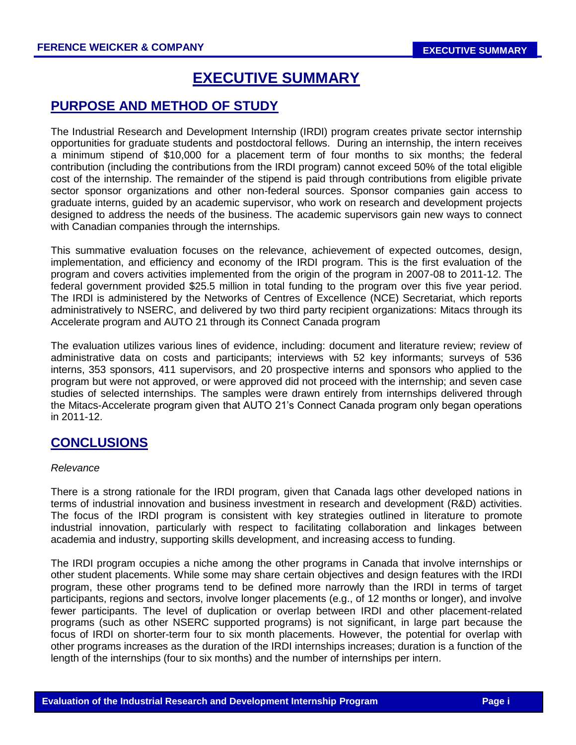# **EXECUTIVE SUMMARY**

# **PURPOSE AND METHOD OF STUDY**

The Industrial Research and Development Internship (IRDI) program creates private sector internship opportunities for graduate students and postdoctoral fellows. During an internship, the intern receives a minimum stipend of \$10,000 for a placement term of four months to six months; the federal contribution (including the contributions from the IRDI program) cannot exceed 50% of the total eligible cost of the internship. The remainder of the stipend is paid through contributions from eligible private sector sponsor organizations and other non-federal sources. Sponsor companies gain access to graduate interns, guided by an academic supervisor, who work on research and development projects designed to address the needs of the business. The academic supervisors gain new ways to connect with Canadian companies through the internships.

This summative evaluation focuses on the relevance, achievement of expected outcomes, design, implementation, and efficiency and economy of the IRDI program. This is the first evaluation of the program and covers activities implemented from the origin of the program in 2007-08 to 2011-12. The federal government provided \$25.5 million in total funding to the program over this five year period. The IRDI is administered by the Networks of Centres of Excellence (NCE) Secretariat, which reports administratively to NSERC, and delivered by two third party recipient organizations: Mitacs through its Accelerate program and AUTO 21 through its Connect Canada program

The evaluation utilizes various lines of evidence, including: document and literature review; review of administrative data on costs and participants; interviews with 52 key informants; surveys of 536 interns, 353 sponsors, 411 supervisors, and 20 prospective interns and sponsors who applied to the program but were not approved, or were approved did not proceed with the internship; and seven case studies of selected internships. The samples were drawn entirely from internships delivered through the Mitacs-Accelerate program given that AUTO 21's Connect Canada program only began operations in 2011-12.

# **CONCLUSIONS**

## *Relevance*

There is a strong rationale for the IRDI program, given that Canada lags other developed nations in terms of industrial innovation and business investment in research and development (R&D) activities. The focus of the IRDI program is consistent with key strategies outlined in literature to promote industrial innovation, particularly with respect to facilitating collaboration and linkages between academia and industry, supporting skills development, and increasing access to funding.

The IRDI program occupies a niche among the other programs in Canada that involve internships or other student placements. While some may share certain objectives and design features with the IRDI program, these other programs tend to be defined more narrowly than the IRDI in terms of target participants, regions and sectors, involve longer placements (e.g., of 12 months or longer), and involve fewer participants. The level of duplication or overlap between IRDI and other placement-related programs (such as other NSERC supported programs) is not significant, in large part because the focus of IRDI on shorter-term four to six month placements. However, the potential for overlap with other programs increases as the duration of the IRDI internships increases; duration is a function of the length of the internships (four to six months) and the number of internships per intern.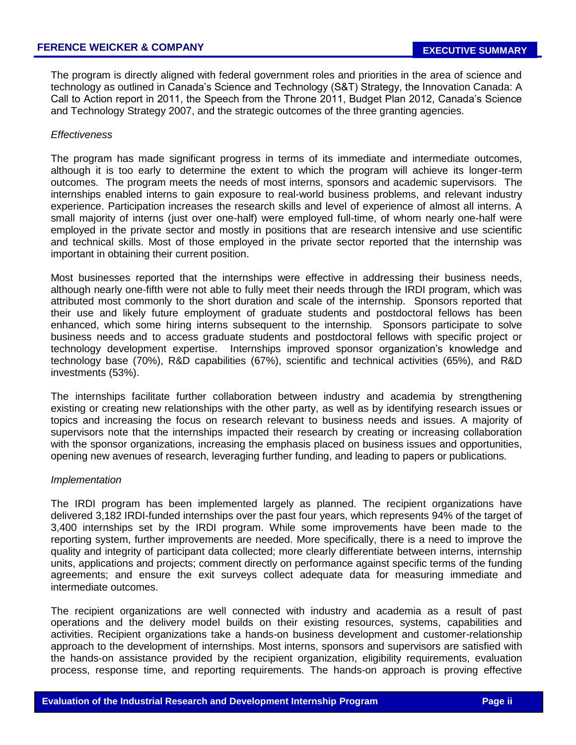The program is directly aligned with federal government roles and priorities in the area of science and technology as outlined in Canada's Science and Technology (S&T) Strategy, the Innovation Canada: A Call to Action report in 2011, the Speech from the Throne 2011, Budget Plan 2012, Canada's Science and Technology Strategy 2007, and the strategic outcomes of the three granting agencies.

### *Effectiveness*

The program has made significant progress in terms of its immediate and intermediate outcomes, although it is too early to determine the extent to which the program will achieve its longer-term outcomes. The program meets the needs of most interns, sponsors and academic supervisors. The internships enabled interns to gain exposure to real-world business problems, and relevant industry experience. Participation increases the research skills and level of experience of almost all interns. A small majority of interns (just over one-half) were employed full-time, of whom nearly one-half were employed in the private sector and mostly in positions that are research intensive and use scientific and technical skills. Most of those employed in the private sector reported that the internship was important in obtaining their current position.

Most businesses reported that the internships were effective in addressing their business needs, although nearly one-fifth were not able to fully meet their needs through the IRDI program, which was attributed most commonly to the short duration and scale of the internship. Sponsors reported that their use and likely future employment of graduate students and postdoctoral fellows has been enhanced, which some hiring interns subsequent to the internship. Sponsors participate to solve business needs and to access graduate students and postdoctoral fellows with specific project or technology development expertise. Internships improved sponsor organization's knowledge and technology base (70%), R&D capabilities (67%), scientific and technical activities (65%), and R&D investments (53%).

The internships facilitate further collaboration between industry and academia by strengthening existing or creating new relationships with the other party, as well as by identifying research issues or topics and increasing the focus on research relevant to business needs and issues. A majority of supervisors note that the internships impacted their research by creating or increasing collaboration with the sponsor organizations, increasing the emphasis placed on business issues and opportunities, opening new avenues of research, leveraging further funding, and leading to papers or publications.

#### *Implementation*

The IRDI program has been implemented largely as planned. The recipient organizations have delivered 3,182 IRDI-funded internships over the past four years, which represents 94% of the target of 3,400 internships set by the IRDI program. While some improvements have been made to the reporting system, further improvements are needed. More specifically, there is a need to improve the quality and integrity of participant data collected; more clearly differentiate between interns, internship units, applications and projects; comment directly on performance against specific terms of the funding agreements; and ensure the exit surveys collect adequate data for measuring immediate and intermediate outcomes.

The recipient organizations are well connected with industry and academia as a result of past operations and the delivery model builds on their existing resources, systems, capabilities and activities. Recipient organizations take a hands-on business development and customer-relationship approach to the development of internships. Most interns, sponsors and supervisors are satisfied with the hands-on assistance provided by the recipient organization, eligibility requirements, evaluation process, response time, and reporting requirements. The hands-on approach is proving effective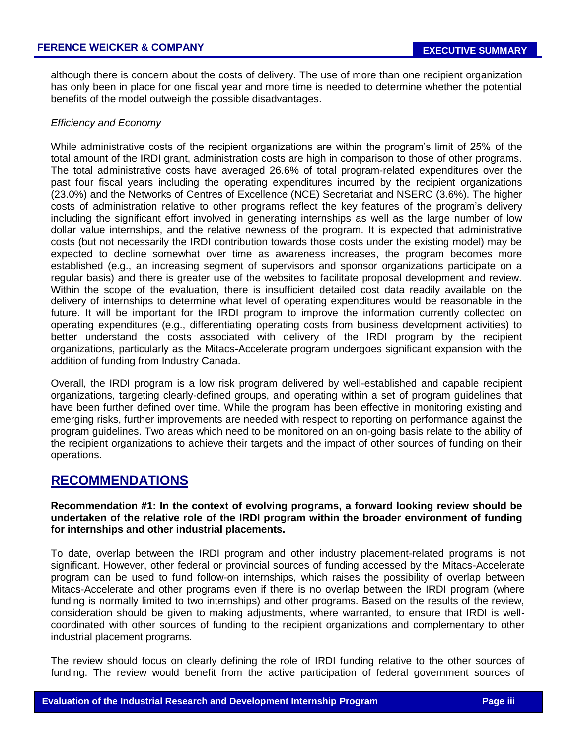although there is concern about the costs of delivery. The use of more than one recipient organization has only been in place for one fiscal year and more time is needed to determine whether the potential benefits of the model outweigh the possible disadvantages.

### *Efficiency and Economy*

While administrative costs of the recipient organizations are within the program's limit of 25% of the total amount of the IRDI grant, administration costs are high in comparison to those of other programs. The total administrative costs have averaged 26.6% of total program-related expenditures over the past four fiscal years including the operating expenditures incurred by the recipient organizations (23.0%) and the Networks of Centres of Excellence (NCE) Secretariat and NSERC (3.6%). The higher costs of administration relative to other programs reflect the key features of the program's delivery including the significant effort involved in generating internships as well as the large number of low dollar value internships, and the relative newness of the program. It is expected that administrative costs (but not necessarily the IRDI contribution towards those costs under the existing model) may be expected to decline somewhat over time as awareness increases, the program becomes more established (e.g., an increasing segment of supervisors and sponsor organizations participate on a regular basis) and there is greater use of the websites to facilitate proposal development and review. Within the scope of the evaluation, there is insufficient detailed cost data readily available on the delivery of internships to determine what level of operating expenditures would be reasonable in the future. It will be important for the IRDI program to improve the information currently collected on operating expenditures (e.g., differentiating operating costs from business development activities) to better understand the costs associated with delivery of the IRDI program by the recipient organizations, particularly as the Mitacs-Accelerate program undergoes significant expansion with the addition of funding from Industry Canada.

Overall, the IRDI program is a low risk program delivered by well-established and capable recipient organizations, targeting clearly-defined groups, and operating within a set of program guidelines that have been further defined over time. While the program has been effective in monitoring existing and emerging risks, further improvements are needed with respect to reporting on performance against the program guidelines. Two areas which need to be monitored on an on-going basis relate to the ability of the recipient organizations to achieve their targets and the impact of other sources of funding on their operations.

# **RECOMMENDATIONS**

**Recommendation #1: In the context of evolving programs, a forward looking review should be undertaken of the relative role of the IRDI program within the broader environment of funding for internships and other industrial placements.**

To date, overlap between the IRDI program and other industry placement-related programs is not significant. However, other federal or provincial sources of funding accessed by the Mitacs-Accelerate program can be used to fund follow-on internships, which raises the possibility of overlap between Mitacs-Accelerate and other programs even if there is no overlap between the IRDI program (where funding is normally limited to two internships) and other programs. Based on the results of the review, consideration should be given to making adjustments, where warranted, to ensure that IRDI is wellcoordinated with other sources of funding to the recipient organizations and complementary to other industrial placement programs.

The review should focus on clearly defining the role of IRDI funding relative to the other sources of funding. The review would benefit from the active participation of federal government sources of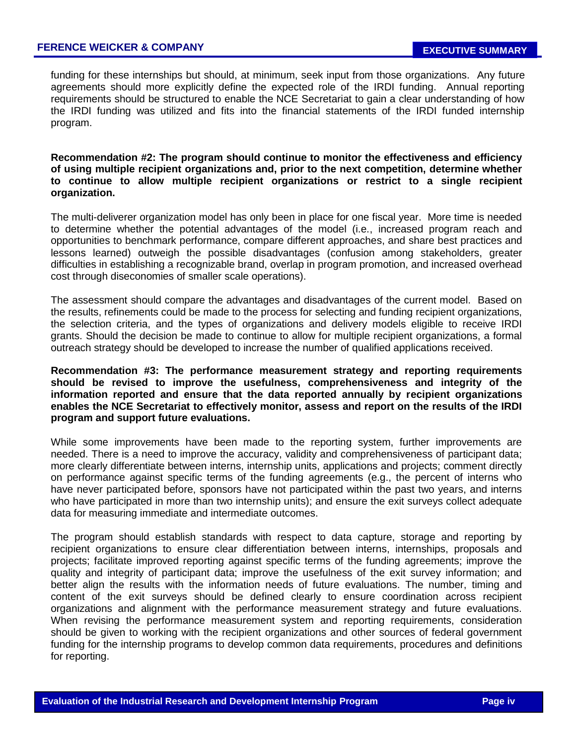funding for these internships but should, at minimum, seek input from those organizations. Any future agreements should more explicitly define the expected role of the IRDI funding. Annual reporting requirements should be structured to enable the NCE Secretariat to gain a clear understanding of how the IRDI funding was utilized and fits into the financial statements of the IRDI funded internship program.

**Recommendation #2: The program should continue to monitor the effectiveness and efficiency of using multiple recipient organizations and, prior to the next competition, determine whether to continue to allow multiple recipient organizations or restrict to a single recipient organization.**

The multi-deliverer organization model has only been in place for one fiscal year. More time is needed to determine whether the potential advantages of the model (i.e., increased program reach and opportunities to benchmark performance, compare different approaches, and share best practices and lessons learned) outweigh the possible disadvantages (confusion among stakeholders, greater difficulties in establishing a recognizable brand, overlap in program promotion, and increased overhead cost through diseconomies of smaller scale operations).

The assessment should compare the advantages and disadvantages of the current model. Based on the results, refinements could be made to the process for selecting and funding recipient organizations, the selection criteria, and the types of organizations and delivery models eligible to receive IRDI grants. Should the decision be made to continue to allow for multiple recipient organizations, a formal outreach strategy should be developed to increase the number of qualified applications received.

**Recommendation #3: The performance measurement strategy and reporting requirements should be revised to improve the usefulness, comprehensiveness and integrity of the information reported and ensure that the data reported annually by recipient organizations enables the NCE Secretariat to effectively monitor, assess and report on the results of the IRDI program and support future evaluations.** 

While some improvements have been made to the reporting system, further improvements are needed. There is a need to improve the accuracy, validity and comprehensiveness of participant data; more clearly differentiate between interns, internship units, applications and projects; comment directly on performance against specific terms of the funding agreements (e.g., the percent of interns who have never participated before, sponsors have not participated within the past two years, and interns who have participated in more than two internship units); and ensure the exit surveys collect adequate data for measuring immediate and intermediate outcomes.

The program should establish standards with respect to data capture, storage and reporting by recipient organizations to ensure clear differentiation between interns, internships, proposals and projects; facilitate improved reporting against specific terms of the funding agreements; improve the quality and integrity of participant data; improve the usefulness of the exit survey information; and better align the results with the information needs of future evaluations. The number, timing and content of the exit surveys should be defined clearly to ensure coordination across recipient organizations and alignment with the performance measurement strategy and future evaluations. When revising the performance measurement system and reporting requirements, consideration should be given to working with the recipient organizations and other sources of federal government funding for the internship programs to develop common data requirements, procedures and definitions for reporting.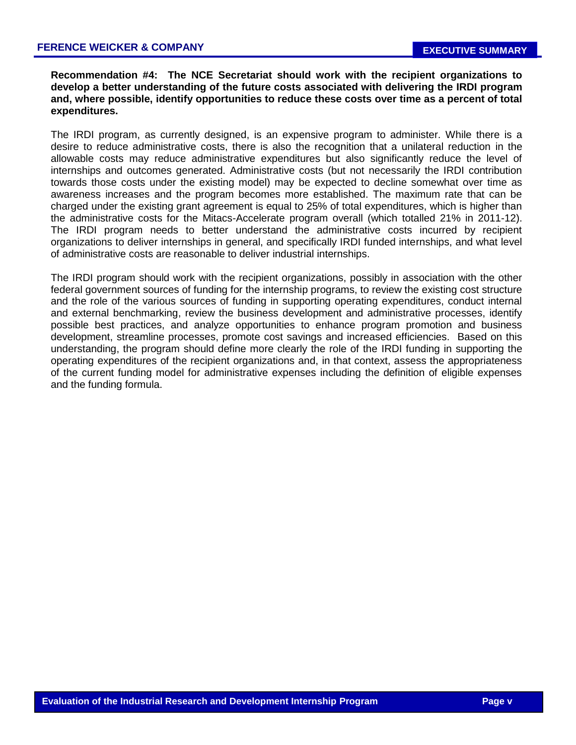## **Recommendation #4: The NCE Secretariat should work with the recipient organizations to develop a better understanding of the future costs associated with delivering the IRDI program and, where possible, identify opportunities to reduce these costs over time as a percent of total expenditures.**

The IRDI program, as currently designed, is an expensive program to administer. While there is a desire to reduce administrative costs, there is also the recognition that a unilateral reduction in the allowable costs may reduce administrative expenditures but also significantly reduce the level of internships and outcomes generated. Administrative costs (but not necessarily the IRDI contribution towards those costs under the existing model) may be expected to decline somewhat over time as awareness increases and the program becomes more established. The maximum rate that can be charged under the existing grant agreement is equal to 25% of total expenditures, which is higher than the administrative costs for the Mitacs-Accelerate program overall (which totalled 21% in 2011-12). The IRDI program needs to better understand the administrative costs incurred by recipient organizations to deliver internships in general, and specifically IRDI funded internships, and what level of administrative costs are reasonable to deliver industrial internships.

The IRDI program should work with the recipient organizations, possibly in association with the other federal government sources of funding for the internship programs, to review the existing cost structure and the role of the various sources of funding in supporting operating expenditures, conduct internal and external benchmarking, review the business development and administrative processes, identify possible best practices, and analyze opportunities to enhance program promotion and business development, streamline processes, promote cost savings and increased efficiencies. Based on this understanding, the program should define more clearly the role of the IRDI funding in supporting the operating expenditures of the recipient organizations and, in that context, assess the appropriateness of the current funding model for administrative expenses including the definition of eligible expenses and the funding formula.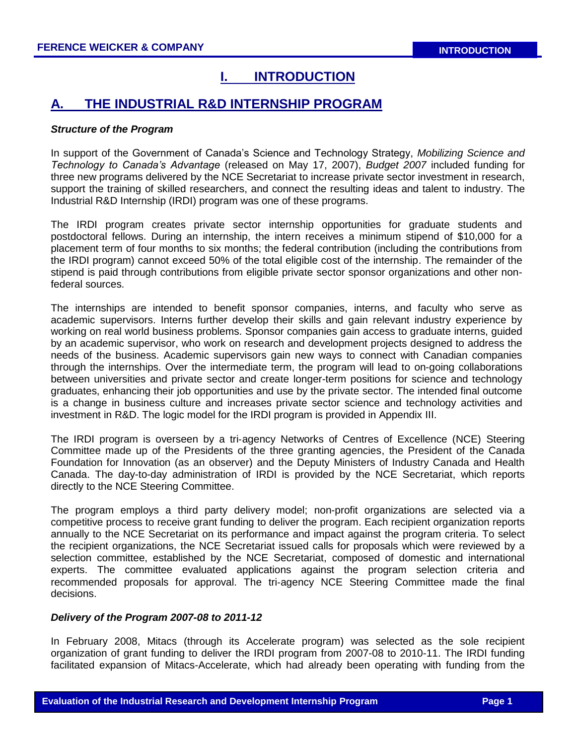# **I. INTRODUCTION**

# **A. THE INDUSTRIAL R&D INTERNSHIP PROGRAM**

### *Structure of the Program*

In support of the Government of Canada's Science and Technology Strategy, *Mobilizing Science and Technology to Canada's Advantage* (released on May 17, 2007), *Budget 2007* included funding for three new programs delivered by the NCE Secretariat to increase private sector investment in research, support the training of skilled researchers, and connect the resulting ideas and talent to industry. The Industrial R&D Internship (IRDI) program was one of these programs.

The IRDI program creates private sector internship opportunities for graduate students and postdoctoral fellows. During an internship, the intern receives a minimum stipend of \$10,000 for a placement term of four months to six months; the federal contribution (including the contributions from the IRDI program) cannot exceed 50% of the total eligible cost of the internship. The remainder of the stipend is paid through contributions from eligible private sector sponsor organizations and other nonfederal sources.

The internships are intended to benefit sponsor companies, interns, and faculty who serve as academic supervisors. Interns further develop their skills and gain relevant industry experience by working on real world business problems. Sponsor companies gain access to graduate interns, guided by an academic supervisor, who work on research and development projects designed to address the needs of the business. Academic supervisors gain new ways to connect with Canadian companies through the internships. Over the intermediate term, the program will lead to on-going collaborations between universities and private sector and create longer-term positions for science and technology graduates, enhancing their job opportunities and use by the private sector. The intended final outcome is a change in business culture and increases private sector science and technology activities and investment in R&D. The logic model for the IRDI program is provided in Appendix III.

The IRDI program is overseen by a tri‐agency Networks of Centres of Excellence (NCE) Steering Committee made up of the Presidents of the three granting agencies, the President of the Canada Foundation for Innovation (as an observer) and the Deputy Ministers of Industry Canada and Health Canada. The day-to-day administration of IRDI is provided by the NCE Secretariat, which reports directly to the NCE Steering Committee.

The program employs a third party delivery model; non-profit organizations are selected via a competitive process to receive grant funding to deliver the program. Each recipient organization reports annually to the NCE Secretariat on its performance and impact against the program criteria. To select the recipient organizations, the NCE Secretariat issued calls for proposals which were reviewed by a selection committee, established by the NCE Secretariat, composed of domestic and international experts. The committee evaluated applications against the program selection criteria and recommended proposals for approval. The tri‐agency NCE Steering Committee made the final decisions.

## *Delivery of the Program 2007-08 to 2011-12*

In February 2008, Mitacs (through its Accelerate program) was selected as the sole recipient organization of grant funding to deliver the IRDI program from 2007-08 to 2010-11. The IRDI funding facilitated expansion of Mitacs-Accelerate, which had already been operating with funding from the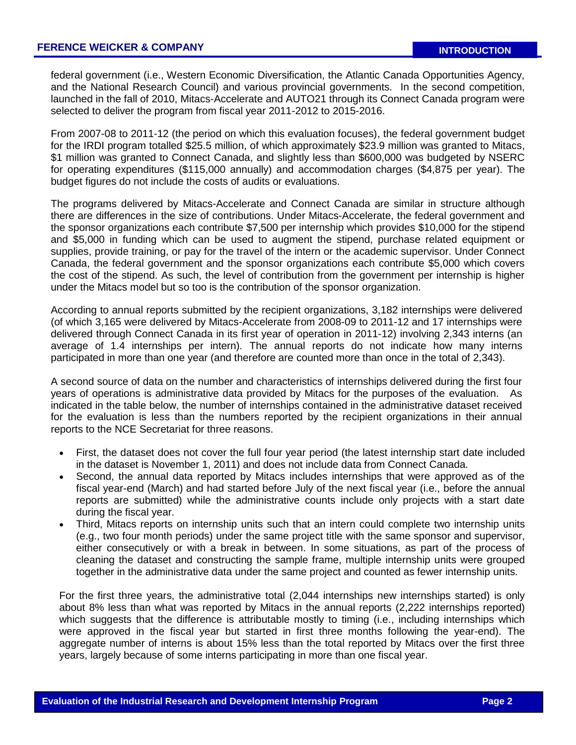federal government (i.e., Western Economic Diversification, the Atlantic Canada Opportunities Agency, and the National Research Council) and various provincial governments. In the second competition, launched in the fall of 2010, Mitacs-Accelerate and AUTO21 through its Connect Canada program were selected to deliver the program from fiscal year 2011-2012 to 2015-2016.

From 2007-08 to 2011-12 (the period on which this evaluation focuses), the federal government budget for the IRDI program totalled \$25.5 million, of which approximately \$23.9 million was granted to Mitacs, \$1 million was granted to Connect Canada, and slightly less than \$600,000 was budgeted by NSERC for operating expenditures (\$115,000 annually) and accommodation charges (\$4,875 per year). The budget figures do not include the costs of audits or evaluations.

The programs delivered by Mitacs-Accelerate and Connect Canada are similar in structure although there are differences in the size of contributions. Under Mitacs-Accelerate, the federal government and the sponsor organizations each contribute \$7,500 per internship which provides \$10,000 for the stipend and \$5,000 in funding which can be used to augment the stipend, purchase related equipment or supplies, provide training, or pay for the travel of the intern or the academic supervisor. Under Connect Canada, the federal government and the sponsor organizations each contribute \$5,000 which covers the cost of the stipend. As such, the level of contribution from the government per internship is higher under the Mitacs model but so too is the contribution of the sponsor organization.

According to annual reports submitted by the recipient organizations, 3,182 internships were delivered (of which 3,165 were delivered by Mitacs-Accelerate from 2008-09 to 2011-12 and 17 internships were delivered through Connect Canada in its first year of operation in 2011-12) involving 2,343 interns (an average of 1.4 internships per intern). The annual reports do not indicate how many interns participated in more than one year (and therefore are counted more than once in the total of 2,343).

A second source of data on the number and characteristics of internships delivered during the first four years of operations is administrative data provided by Mitacs for the purposes of the evaluation. As indicated in the table below, the number of internships contained in the administrative dataset received for the evaluation is less than the numbers reported by the recipient organizations in their annual reports to the NCE Secretariat for three reasons.

- First, the dataset does not cover the full four year period (the latest internship start date included in the dataset is November 1, 2011) and does not include data from Connect Canada.
- Second, the annual data reported by Mitacs includes internships that were approved as of the fiscal year-end (March) and had started before July of the next fiscal year (i.e., before the annual reports are submitted) while the administrative counts include only projects with a start date during the fiscal year.
- Third, Mitacs reports on internship units such that an intern could complete two internship units (e.g., two four month periods) under the same project title with the same sponsor and supervisor, either consecutively or with a break in between. In some situations, as part of the process of cleaning the dataset and constructing the sample frame, multiple internship units were grouped together in the administrative data under the same project and counted as fewer internship units.

For the first three years, the administrative total (2,044 internships new internships started) is only about 8% less than what was reported by Mitacs in the annual reports (2,222 internships reported) which suggests that the difference is attributable mostly to timing (i.e., including internships which were approved in the fiscal year but started in first three months following the year-end). The aggregate number of interns is about 15% less than the total reported by Mitacs over the first three years, largely because of some interns participating in more than one fiscal year.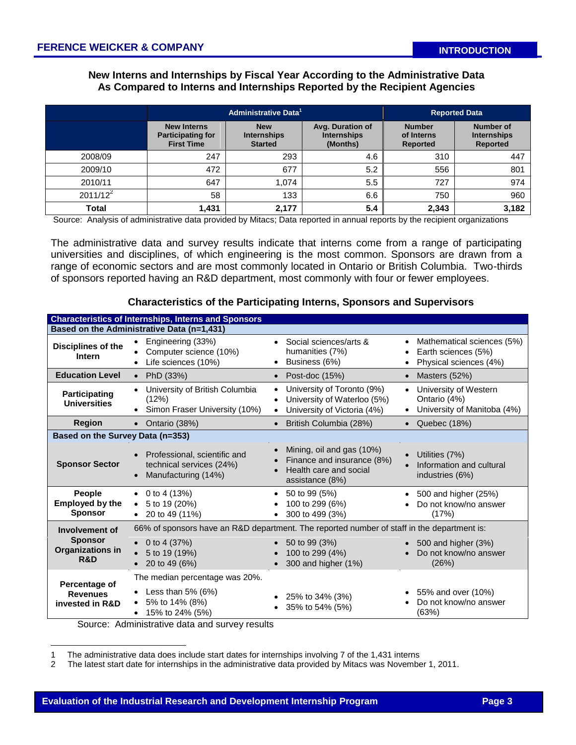## **New Interns and Internships by Fiscal Year According to the Administrative Data As Compared to Interns and Internships Reported by the Recipient Agencies**

|             |                                                                     | Administrative Data <sup>1</sup>                   |                                                    | <b>Reported Data</b>                           |                                                    |
|-------------|---------------------------------------------------------------------|----------------------------------------------------|----------------------------------------------------|------------------------------------------------|----------------------------------------------------|
|             | <b>New Interns</b><br><b>Participating for</b><br><b>First Time</b> | <b>New</b><br><b>Internships</b><br><b>Started</b> | Avg. Duration of<br><b>Internships</b><br>(Months) | <b>Number</b><br>of Interns<br><b>Reported</b> | Number of<br><b>Internships</b><br><b>Reported</b> |
| 2008/09     | 247                                                                 | 293                                                | 4.6                                                | 310                                            | 447                                                |
| 2009/10     | 472                                                                 | 677                                                | 5.2                                                | 556                                            | 801                                                |
| 2010/11     | 647                                                                 | 1.074                                              | 5.5                                                | 727                                            | 974                                                |
| $2011/12^2$ | 58                                                                  | 133                                                | 6.6                                                | 750                                            | 960                                                |
| Total       | 1,431                                                               | 2,177                                              | 5.4                                                | 2,343                                          | 3,182                                              |

Source: Analysis of administrative data provided by Mitacs; Data reported in annual reports by the recipient organizations

The administrative data and survey results indicate that interns come from a range of participating universities and disciplines, of which engineering is the most common. Sponsors are drawn from a range of economic sectors and are most commonly located in Ontario or British Columbia. Two-thirds of sponsors reported having an R&D department, most commonly with four or fewer employees.

|                                                     | <b>Characteristics of Internships, Interns and Sponsors</b>                                  |                                                                                                                    |                                                                                   |  |  |  |  |  |  |
|-----------------------------------------------------|----------------------------------------------------------------------------------------------|--------------------------------------------------------------------------------------------------------------------|-----------------------------------------------------------------------------------|--|--|--|--|--|--|
|                                                     | Based on the Administrative Data (n=1,431)                                                   |                                                                                                                    |                                                                                   |  |  |  |  |  |  |
| <b>Disciplines of the</b><br><b>Intern</b>          | Engineering (33%)<br>Computer science (10%)<br>Life sciences (10%)                           | Social sciences/arts &<br>$\bullet$<br>humanities (7%)<br>Business (6%)                                            | Mathematical sciences (5%)<br>Earth sciences (5%)<br>Physical sciences (4%)       |  |  |  |  |  |  |
| <b>Education Level</b>                              | PhD (33%)<br>$\bullet$                                                                       | Post-doc (15%)<br>$\bullet$                                                                                        | Masters (52%)<br>$\bullet$                                                        |  |  |  |  |  |  |
| Participating<br><b>Universities</b>                | University of British Columbia<br>(12%)<br>Simon Fraser University (10%)                     | University of Toronto (9%)<br>$\bullet$<br>University of Waterloo (5%)<br>University of Victoria (4%)<br>$\bullet$ | University of Western<br>Ontario (4%)<br>University of Manitoba (4%)<br>$\bullet$ |  |  |  |  |  |  |
| <b>Region</b>                                       | • Ontario (38%)                                                                              | British Columbia (28%)<br>$\bullet$                                                                                | • Quebec $(18%)$                                                                  |  |  |  |  |  |  |
| Based on the Survey Data (n=353)                    |                                                                                              |                                                                                                                    |                                                                                   |  |  |  |  |  |  |
| <b>Sponsor Sector</b>                               | Professional, scientific and<br>$\bullet$<br>technical services (24%)<br>Manufacturing (14%) | Mining, oil and gas (10%)<br>$\bullet$<br>Finance and insurance (8%)<br>Health care and social<br>assistance (8%)  | Utilities (7%)<br>Information and cultural<br>industries (6%)                     |  |  |  |  |  |  |
| People<br><b>Employed by the</b><br><b>Sponsor</b>  | • 0 to 4 $(13%)$<br>5 to 19 (20%)<br>$\bullet$<br>• 20 to 49 $(11\%)$                        | 50 to 99 (5%)<br>$\bullet$<br>100 to 299 (6%)<br>300 to 499 (3%)                                                   | 500 and higher (25%)<br>Do not know/no answer<br>(17%)                            |  |  |  |  |  |  |
| Involvement of                                      | 66% of sponsors have an R&D department. The reported number of staff in the department is:   |                                                                                                                    |                                                                                   |  |  |  |  |  |  |
| <b>Sponsor</b><br>Organizations in<br>R&D           | 0 to 4 $(37%)$<br>5 to 19 (19%)<br>20 to 49 (6%)                                             | 50 to 99 (3%)<br>100 to 299 (4%)<br>300 and higher (1%)                                                            | 500 and higher (3%)<br>Do not know/no answer<br>(26%)                             |  |  |  |  |  |  |
| Percentage of<br><b>Revenues</b><br>invested in R&D | The median percentage was 20%.                                                               |                                                                                                                    |                                                                                   |  |  |  |  |  |  |
|                                                     | Less than $5\%$ (6%)<br>5% to 14% (8%)<br>15% to 24% (5%)                                    | 25% to 34% (3%)<br>35% to 54% (5%)<br>$\bullet$                                                                    | • $55\%$ and over $(10\%)$<br>Do not know/no answer<br>(63%)                      |  |  |  |  |  |  |
|                                                     | Source: Administrative data and survey results                                               |                                                                                                                    |                                                                                   |  |  |  |  |  |  |

#### **Characteristics of the Participating Interns, Sponsors and Supervisors**

Source: Administrative data and survey results

 $\overline{a}$ 

<sup>1</sup> The administrative data does include start dates for internships involving 7 of the 1,431 interns

<sup>2</sup> The latest start date for internships in the administrative data provided by Mitacs was November 1, 2011.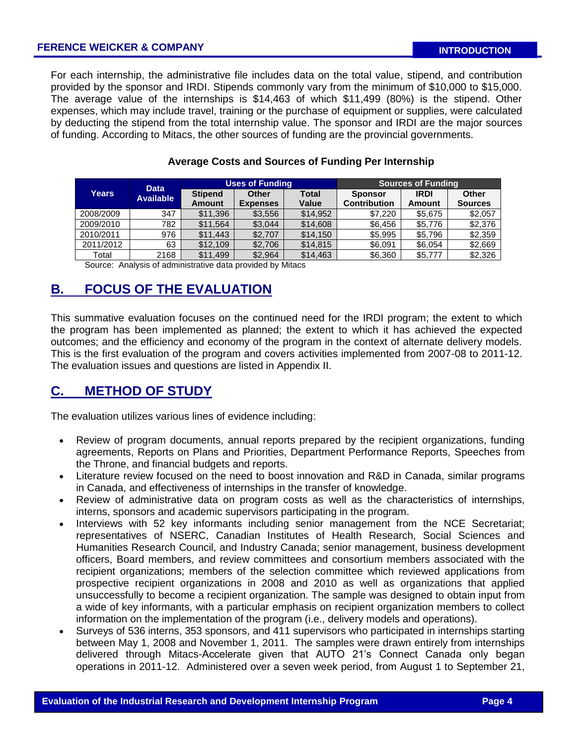For each internship, the administrative file includes data on the total value, stipend, and contribution provided by the sponsor and IRDI. Stipends commonly vary from the minimum of \$10,000 to \$15,000. The average value of the internships is \$14,463 of which \$11,499 (80%) is the stipend. Other expenses, which may include travel, training or the purchase of equipment or supplies, were calculated by deducting the stipend from the total internship value. The sponsor and IRDI are the major sources of funding. According to Mitacs, the other sources of funding are the provincial governments.

| Years     | <b>Data</b><br><b>Available</b> |                | <b>Uses of Funding</b> |          | <b>Sources of Funding</b> |             |                |  |
|-----------|---------------------------------|----------------|------------------------|----------|---------------------------|-------------|----------------|--|
|           |                                 | <b>Stipend</b> | Other                  | Total    | <b>Sponsor</b>            | <b>IRDI</b> | Other          |  |
|           |                                 | <b>Amount</b>  | <b>Expenses</b>        | Value    | <b>Contribution</b>       | Amount      | <b>Sources</b> |  |
| 2008/2009 | 347                             | \$11,396       | \$3.556                | \$14,952 | \$7.220                   | \$5.675     | \$2,057        |  |
| 2009/2010 | 782                             | \$11,564       | \$3.044                | \$14,608 | \$6.456                   | \$5.776     | \$2,376        |  |
| 2010/2011 | 976                             | \$11.443       | \$2,707                | \$14,150 | \$5.995                   | \$5.796     | \$2,359        |  |
| 2011/2012 | 63                              | \$12,109       | \$2,706                | \$14,815 | \$6,091                   | \$6,054     | \$2,669        |  |
| Total     | 2168                            | \$11,499       | \$2,964                | \$14,463 | \$6,360                   | \$5,777     | \$2,326        |  |

### **Average Costs and Sources of Funding Per Internship**

Source: Analysis of administrative data provided by Mitacs

# **B. FOCUS OF THE EVALUATION**

This summative evaluation focuses on the continued need for the IRDI program; the extent to which the program has been implemented as planned; the extent to which it has achieved the expected outcomes; and the efficiency and economy of the program in the context of alternate delivery models. This is the first evaluation of the program and covers activities implemented from 2007-08 to 2011-12. The evaluation issues and questions are listed in Appendix II.

# **C. METHOD OF STUDY**

The evaluation utilizes various lines of evidence including:

- Review of program documents, annual reports prepared by the recipient organizations, funding agreements, Reports on Plans and Priorities, Department Performance Reports, Speeches from the Throne, and financial budgets and reports.
- Literature review focused on the need to boost innovation and R&D in Canada, similar programs in Canada, and effectiveness of internships in the transfer of knowledge.
- Review of administrative data on program costs as well as the characteristics of internships, interns, sponsors and academic supervisors participating in the program.
- Interviews with 52 key informants including senior management from the NCE Secretariat; representatives of NSERC, Canadian Institutes of Health Research, Social Sciences and Humanities Research Council, and Industry Canada; senior management, business development officers, Board members, and review committees and consortium members associated with the recipient organizations; members of the selection committee which reviewed applications from prospective recipient organizations in 2008 and 2010 as well as organizations that applied unsuccessfully to become a recipient organization. The sample was designed to obtain input from a wide of key informants, with a particular emphasis on recipient organization members to collect information on the implementation of the program (i.e., delivery models and operations).
- Surveys of 536 interns, 353 sponsors, and 411 supervisors who participated in internships starting between May 1, 2008 and November 1, 2011. The samples were drawn entirely from internships delivered through Mitacs-Accelerate given that AUTO 21's Connect Canada only began operations in 2011-12. Administered over a seven week period, from August 1 to September 21,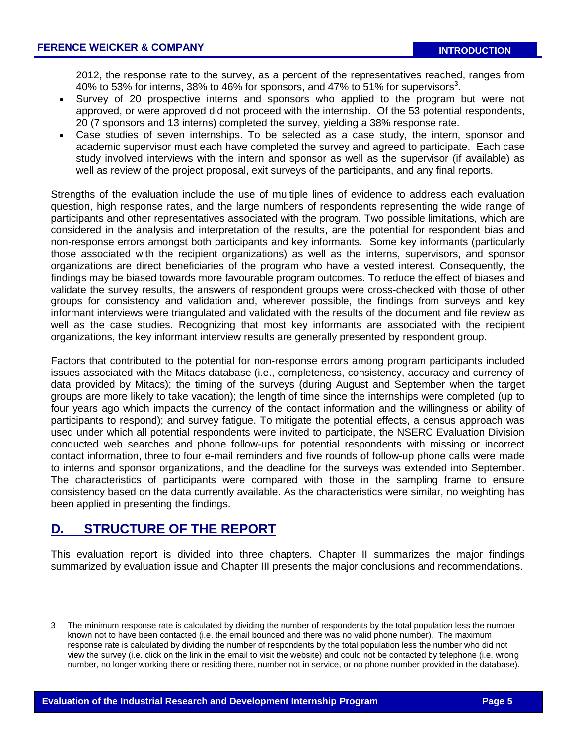2012, the response rate to the survey, as a percent of the representatives reached, ranges from 40% to 53% for interns, 38% to 46% for sponsors, and 47% to 51% for supervisors<sup>3</sup>.

- Survey of 20 prospective interns and sponsors who applied to the program but were not approved, or were approved did not proceed with the internship. Of the 53 potential respondents, 20 (7 sponsors and 13 interns) completed the survey, yielding a 38% response rate.
- Case studies of seven internships. To be selected as a case study, the intern, sponsor and academic supervisor must each have completed the survey and agreed to participate. Each case study involved interviews with the intern and sponsor as well as the supervisor (if available) as well as review of the project proposal, exit surveys of the participants, and any final reports.

Strengths of the evaluation include the use of multiple lines of evidence to address each evaluation question, high response rates, and the large numbers of respondents representing the wide range of participants and other representatives associated with the program. Two possible limitations, which are considered in the analysis and interpretation of the results, are the potential for respondent bias and non-response errors amongst both participants and key informants. Some key informants (particularly those associated with the recipient organizations) as well as the interns, supervisors, and sponsor organizations are direct beneficiaries of the program who have a vested interest. Consequently, the findings may be biased towards more favourable program outcomes. To reduce the effect of biases and validate the survey results, the answers of respondent groups were cross-checked with those of other groups for consistency and validation and, wherever possible, the findings from surveys and key informant interviews were triangulated and validated with the results of the document and file review as well as the case studies. Recognizing that most key informants are associated with the recipient organizations, the key informant interview results are generally presented by respondent group.

Factors that contributed to the potential for non-response errors among program participants included issues associated with the Mitacs database (i.e., completeness, consistency, accuracy and currency of data provided by Mitacs); the timing of the surveys (during August and September when the target groups are more likely to take vacation); the length of time since the internships were completed (up to four years ago which impacts the currency of the contact information and the willingness or ability of participants to respond); and survey fatigue. To mitigate the potential effects, a census approach was used under which all potential respondents were invited to participate, the NSERC Evaluation Division conducted web searches and phone follow-ups for potential respondents with missing or incorrect contact information, three to four e-mail reminders and five rounds of follow-up phone calls were made to interns and sponsor organizations, and the deadline for the surveys was extended into September. The characteristics of participants were compared with those in the sampling frame to ensure consistency based on the data currently available. As the characteristics were similar, no weighting has been applied in presenting the findings.

# **D. STRUCTURE OF THE REPORT**

l

This evaluation report is divided into three chapters. Chapter II summarizes the major findings summarized by evaluation issue and Chapter III presents the major conclusions and recommendations.

<sup>3</sup> The minimum response rate is calculated by dividing the number of respondents by the total population less the number known not to have been contacted (i.e. the email bounced and there was no valid phone number). The maximum response rate is calculated by dividing the number of respondents by the total population less the number who did not view the survey (i.e. click on the link in the email to visit the website) and could not be contacted by telephone (i.e. wrong number, no longer working there or residing there, number not in service, or no phone number provided in the database).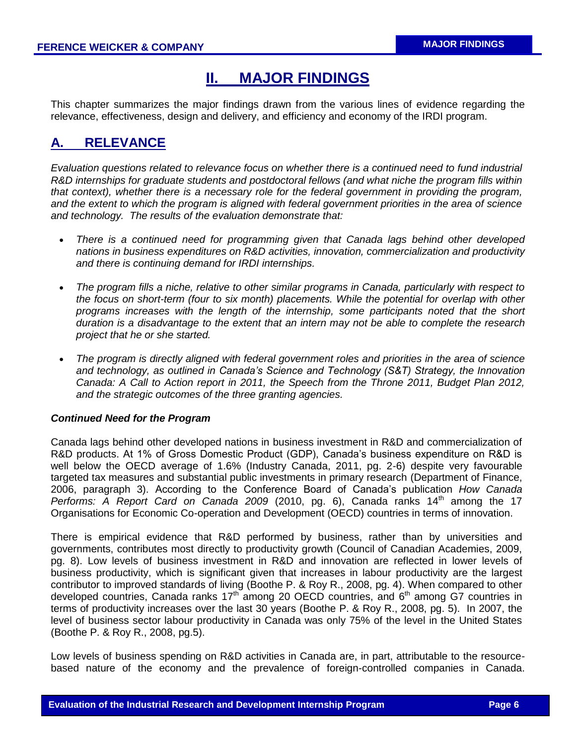# **II. MAJOR FINDINGS**

This chapter summarizes the major findings drawn from the various lines of evidence regarding the relevance, effectiveness, design and delivery, and efficiency and economy of the IRDI program.

# **A. RELEVANCE**

*Evaluation questions related to relevance focus on whether there is a continued need to fund industrial R&D internships for graduate students and postdoctoral fellows (and what niche the program fills within that context), whether there is a necessary role for the federal government in providing the program, and the extent to which the program is aligned with federal government priorities in the area of science and technology. The results of the evaluation demonstrate that:*

- *There is a continued need for programming given that Canada lags behind other developed nations in business expenditures on R&D activities, innovation, commercialization and productivity and there is continuing demand for IRDI internships.*
- *The program fills a niche, relative to other similar programs in Canada, particularly with respect to the focus on short-term (four to six month) placements. While the potential for overlap with other programs increases with the length of the internship, some participants noted that the short duration is a disadvantage to the extent that an intern may not be able to complete the research project that he or she started.*
- *The program is directly aligned with federal government roles and priorities in the area of science and technology, as outlined in Canada's Science and Technology (S&T) Strategy, the Innovation Canada: A Call to Action report in 2011, the Speech from the Throne 2011, Budget Plan 2012, and the strategic outcomes of the three granting agencies.*

## *Continued Need for the Program*

Canada lags behind other developed nations in business investment in R&D and commercialization of R&D products. At 1% of Gross Domestic Product (GDP), Canada's business expenditure on R&D is well below the OECD average of 1.6% (Industry Canada, 2011, pg. 2-6) despite very favourable targeted tax measures and substantial public investments in primary research (Department of Finance, 2006, paragraph 3). According to the Conference Board of Canada's publication *How Canada Performs: A Report Card on Canada 2009* (2010, pg. 6), Canada ranks 14<sup>th</sup> among the 17 Organisations for Economic Co-operation and Development (OECD) countries in terms of innovation.

There is empirical evidence that R&D performed by business, rather than by universities and governments, contributes most directly to productivity growth (Council of Canadian Academies, 2009, pg. 8). Low levels of business investment in R&D and innovation are reflected in lower levels of business productivity, which is significant given that increases in labour productivity are the largest contributor to improved standards of living (Boothe P. & Roy R., 2008, pg. 4). When compared to other developed countries, Canada ranks 17<sup>th</sup> among 20 OECD countries, and  $6<sup>th</sup>$  among G7 countries in terms of productivity increases over the last 30 years (Boothe P. & Roy R., 2008, pg. 5). In 2007, the level of business sector labour productivity in Canada was only 75% of the level in the United States (Boothe P. & Roy R., 2008, pg.5).

Low levels of business spending on R&D activities in Canada are, in part, attributable to the resourcebased nature of the economy and the prevalence of foreign-controlled companies in Canada.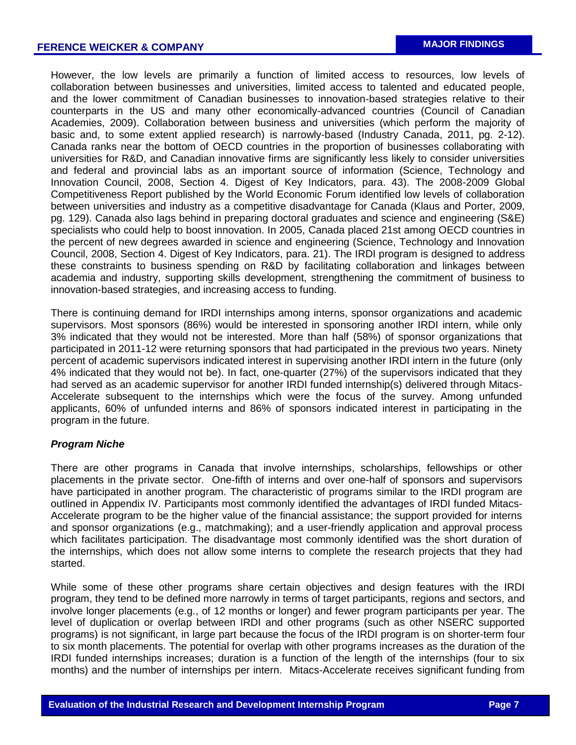However, the low levels are primarily a function of limited access to resources, low levels of collaboration between businesses and universities, limited access to talented and educated people, and the lower commitment of Canadian businesses to innovation-based strategies relative to their counterparts in the US and many other economically-advanced countries (Council of Canadian Academies, 2009). Collaboration between business and universities (which perform the majority of basic and, to some extent applied research) is narrowly-based (Industry Canada, 2011, pg. 2-12). Canada ranks near the bottom of OECD countries in the proportion of businesses collaborating with universities for R&D, and Canadian innovative firms are significantly less likely to consider universities and federal and provincial labs as an important source of information (Science, Technology and Innovation Council, 2008, Section 4. Digest of Key Indicators, para. 43). The 2008-2009 Global Competitiveness Report published by the World Economic Forum identified low levels of collaboration between universities and industry as a competitive disadvantage for Canada (Klaus and Porter, 2009, pg. 129). Canada also lags behind in preparing doctoral graduates and science and engineering (S&E) specialists who could help to boost innovation. In 2005, Canada placed 21st among OECD countries in the percent of new degrees awarded in science and engineering (Science, Technology and Innovation Council, 2008, Section 4. Digest of Key Indicators, para. 21). The IRDI program is designed to address these constraints to business spending on R&D by facilitating collaboration and linkages between academia and industry, supporting skills development, strengthening the commitment of business to innovation-based strategies, and increasing access to funding.

There is continuing demand for IRDI internships among interns, sponsor organizations and academic supervisors. Most sponsors (86%) would be interested in sponsoring another IRDI intern, while only 3% indicated that they would not be interested. More than half (58%) of sponsor organizations that participated in 2011-12 were returning sponsors that had participated in the previous two years. Ninety percent of academic supervisors indicated interest in supervising another IRDI intern in the future (only 4% indicated that they would not be). In fact, one-quarter (27%) of the supervisors indicated that they had served as an academic supervisor for another IRDI funded internship(s) delivered through Mitacs-Accelerate subsequent to the internships which were the focus of the survey. Among unfunded applicants, 60% of unfunded interns and 86% of sponsors indicated interest in participating in the program in the future.

## *Program Niche*

There are other programs in Canada that involve internships, scholarships, fellowships or other placements in the private sector. One-fifth of interns and over one-half of sponsors and supervisors have participated in another program. The characteristic of programs similar to the IRDI program are outlined in Appendix IV. Participants most commonly identified the advantages of IRDI funded Mitacs-Accelerate program to be the higher value of the financial assistance; the support provided for interns and sponsor organizations (e.g., matchmaking); and a user-friendly application and approval process which facilitates participation. The disadvantage most commonly identified was the short duration of the internships, which does not allow some interns to complete the research projects that they had started.

While some of these other programs share certain objectives and design features with the IRDI program, they tend to be defined more narrowly in terms of target participants, regions and sectors, and involve longer placements (e.g., of 12 months or longer) and fewer program participants per year. The level of duplication or overlap between IRDI and other programs (such as other NSERC supported programs) is not significant, in large part because the focus of the IRDI program is on shorter-term four to six month placements. The potential for overlap with other programs increases as the duration of the IRDI funded internships increases; duration is a function of the length of the internships (four to six months) and the number of internships per intern. Mitacs-Accelerate receives significant funding from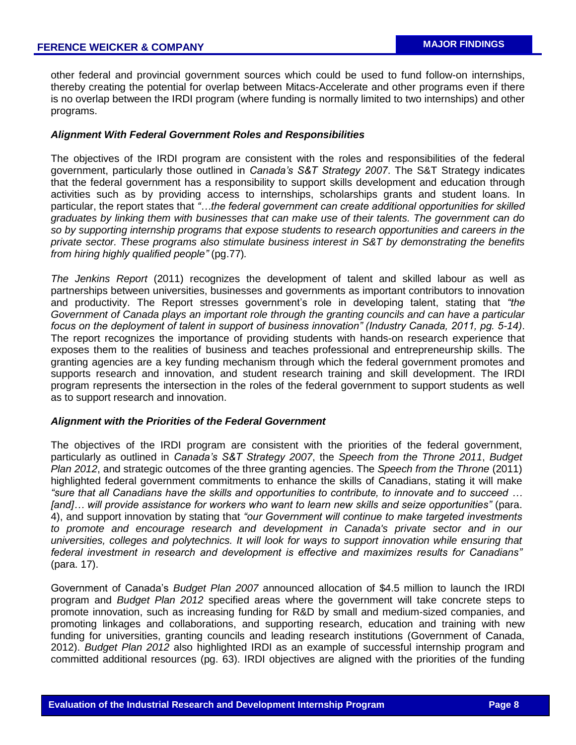other federal and provincial government sources which could be used to fund follow-on internships, thereby creating the potential for overlap between Mitacs-Accelerate and other programs even if there is no overlap between the IRDI program (where funding is normally limited to two internships) and other programs.

### *Alignment With Federal Government Roles and Responsibilities*

The objectives of the IRDI program are consistent with the roles and responsibilities of the federal government, particularly those outlined in *Canada's S&T Strategy 2007*. The S&T Strategy indicates that the federal government has a responsibility to support skills development and education through activities such as by providing access to internships, scholarships grants and student loans. In particular, the report states that *"…the federal government can create additional opportunities for skilled graduates by linking them with businesses that can make use of their talents. The government can do so by supporting internship programs that expose students to research opportunities and careers in the private sector. These programs also stimulate business interest in S&T by demonstrating the benefits from hiring highly qualified people"* (pg.77)*.*

*The Jenkins Report* (2011) recognizes the development of talent and skilled labour as well as partnerships between universities, businesses and governments as important contributors to innovation and productivity. The Report stresses government's role in developing talent, stating that *"the Government of Canada plays an important role through the granting councils and can have a particular focus on the deployment of talent in support of business innovation" (Industry Canada, 2011, pg. 5-14)*. The report recognizes the importance of providing students with hands-on research experience that exposes them to the realities of business and teaches professional and entrepreneurship skills. The granting agencies are a key funding mechanism through which the federal government promotes and supports research and innovation, and student research training and skill development. The IRDI program represents the intersection in the roles of the federal government to support students as well as to support research and innovation.

#### *Alignment with the Priorities of the Federal Government*

The objectives of the IRDI program are consistent with the priorities of the federal government, particularly as outlined in *Canada's S&T Strategy 2007*, the *Speech from the Throne 2011*, *Budget Plan 2012*, and strategic outcomes of the three granting agencies. The *Speech from the Throne* (2011) highlighted federal government commitments to enhance the skills of Canadians, stating it will make *"sure that all Canadians have the skills and opportunities to contribute, to innovate and to succeed … [and]… will provide assistance for workers who want to learn new skills and seize opportunities"* (para. 4), and support innovation by stating that *"our Government will continue to make targeted investments to promote and encourage research and development in Canada's private sector and in our universities, colleges and polytechnics. It will look for ways to support innovation while ensuring that federal investment in research and development is effective and maximizes results for Canadians"*  (para. 17).

Government of Canada's *Budget Plan 2007* announced allocation of \$4.5 million to launch the IRDI program and *Budget Plan 2012* specified areas where the government will take concrete steps to promote innovation, such as increasing funding for R&D by small and medium-sized companies, and promoting linkages and collaborations, and supporting research, education and training with new funding for universities, granting councils and leading research institutions (Government of Canada, 2012). *Budget Plan 2012* also highlighted IRDI as an example of successful internship program and committed additional resources (pg. 63). IRDI objectives are aligned with the priorities of the funding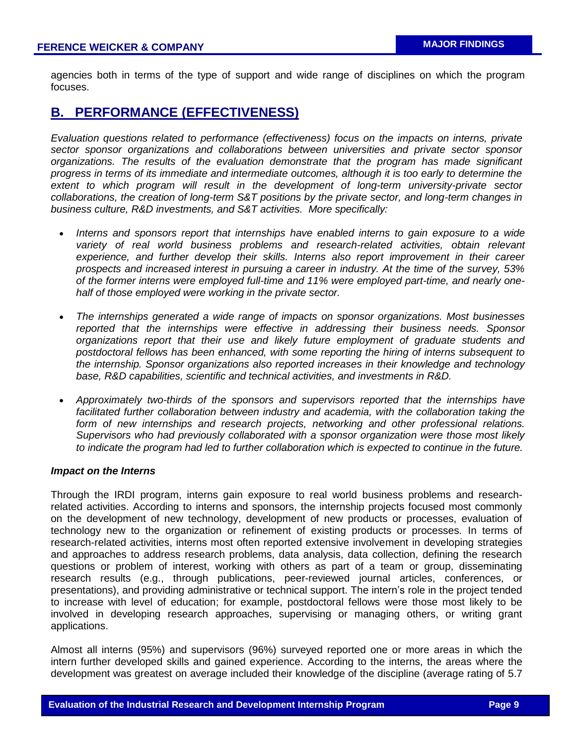agencies both in terms of the type of support and wide range of disciplines on which the program focuses.

# **B. PERFORMANCE (EFFECTIVENESS)**

*Evaluation questions related to performance (effectiveness) focus on the impacts on interns, private sector sponsor organizations and collaborations between universities and private sector sponsor organizations. The results of the evaluation demonstrate that the program has made significant progress in terms of its immediate and intermediate outcomes, although it is too early to determine the extent to which program will result in the development of long-term university-private sector collaborations, the creation of long-term S&T positions by the private sector, and long-term changes in business culture, R&D investments, and S&T activities. More specifically:*

- *Interns and sponsors report that internships have enabled interns to gain exposure to a wide* variety of real world business problems and research-related activities, obtain relevant *experience, and further develop their skills. Interns also report improvement in their career prospects and increased interest in pursuing a career in industry. At the time of the survey, 53% of the former interns were employed full-time and 11% were employed part-time, and nearly onehalf of those employed were working in the private sector.*
- *The internships generated a wide range of impacts on sponsor organizations. Most businesses reported that the internships were effective in addressing their business needs. Sponsor organizations report that their use and likely future employment of graduate students and postdoctoral fellows has been enhanced, with some reporting the hiring of interns subsequent to the internship. Sponsor organizations also reported increases in their knowledge and technology base, R&D capabilities, scientific and technical activities, and investments in R&D.*
- *Approximately two-thirds of the sponsors and supervisors reported that the internships have facilitated further collaboration between industry and academia, with the collaboration taking the form of new internships and research projects, networking and other professional relations. Supervisors who had previously collaborated with a sponsor organization were those most likely to indicate the program had led to further collaboration which is expected to continue in the future.*

#### *Impact on the Interns*

Through the IRDI program, interns gain exposure to real world business problems and researchrelated activities. According to interns and sponsors, the internship projects focused most commonly on the development of new technology, development of new products or processes, evaluation of technology new to the organization or refinement of existing products or processes. In terms of research-related activities, interns most often reported extensive involvement in developing strategies and approaches to address research problems, data analysis, data collection, defining the research questions or problem of interest, working with others as part of a team or group, disseminating research results (e.g., through publications, peer-reviewed journal articles, conferences, or presentations), and providing administrative or technical support. The intern's role in the project tended to increase with level of education; for example, postdoctoral fellows were those most likely to be involved in developing research approaches, supervising or managing others, or writing grant applications.

Almost all interns (95%) and supervisors (96%) surveyed reported one or more areas in which the intern further developed skills and gained experience. According to the interns, the areas where the development was greatest on average included their knowledge of the discipline (average rating of 5.7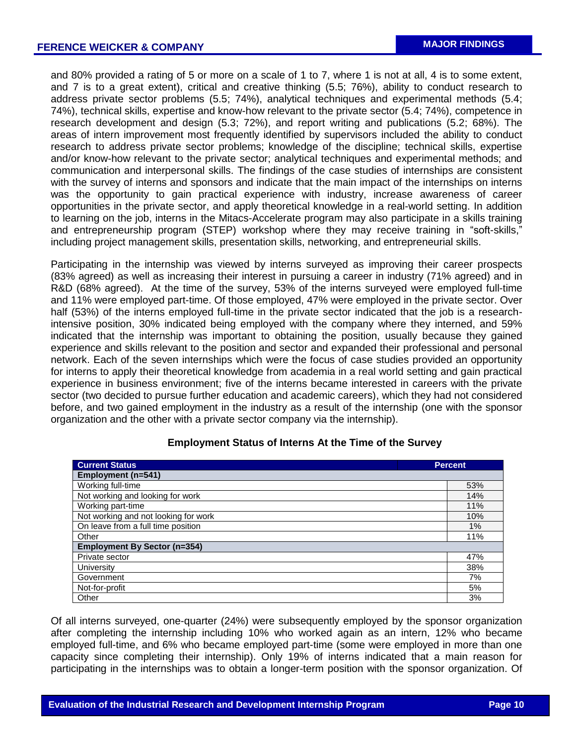and 80% provided a rating of 5 or more on a scale of 1 to 7, where 1 is not at all, 4 is to some extent, and 7 is to a great extent), critical and creative thinking (5.5; 76%), ability to conduct research to address private sector problems (5.5; 74%), analytical techniques and experimental methods (5.4; 74%), technical skills, expertise and know-how relevant to the private sector (5.4; 74%), competence in research development and design (5.3; 72%), and report writing and publications (5.2; 68%). The areas of intern improvement most frequently identified by supervisors included the ability to conduct research to address private sector problems; knowledge of the discipline; technical skills, expertise and/or know-how relevant to the private sector; analytical techniques and experimental methods; and communication and interpersonal skills. The findings of the case studies of internships are consistent with the survey of interns and sponsors and indicate that the main impact of the internships on interns was the opportunity to gain practical experience with industry, increase awareness of career opportunities in the private sector, and apply theoretical knowledge in a real-world setting. In addition to learning on the job, interns in the Mitacs-Accelerate program may also participate in a skills training and entrepreneurship program (STEP) workshop where they may receive training in "soft-skills," including project management skills, presentation skills, networking, and entrepreneurial skills.

Participating in the internship was viewed by interns surveyed as improving their career prospects (83% agreed) as well as increasing their interest in pursuing a career in industry (71% agreed) and in R&D (68% agreed). At the time of the survey, 53% of the interns surveyed were employed full-time and 11% were employed part-time. Of those employed, 47% were employed in the private sector. Over half (53%) of the interns employed full-time in the private sector indicated that the job is a researchintensive position, 30% indicated being employed with the company where they interned, and 59% indicated that the internship was important to obtaining the position, usually because they gained experience and skills relevant to the position and sector and expanded their professional and personal network. Each of the seven internships which were the focus of case studies provided an opportunity for interns to apply their theoretical knowledge from academia in a real world setting and gain practical experience in business environment; five of the interns became interested in careers with the private sector (two decided to pursue further education and academic careers), which they had not considered before, and two gained employment in the industry as a result of the internship (one with the sponsor organization and the other with a private sector company via the internship).

| <b>Current Status</b><br><b>Percent</b> |     |  |  |  |  |
|-----------------------------------------|-----|--|--|--|--|
| Employment (n=541)                      |     |  |  |  |  |
| Working full-time                       | 53% |  |  |  |  |
| Not working and looking for work        | 14% |  |  |  |  |
| Working part-time                       | 11% |  |  |  |  |
| Not working and not looking for work    |     |  |  |  |  |
| On leave from a full time position      |     |  |  |  |  |
| Other                                   |     |  |  |  |  |
| <b>Employment By Sector (n=354)</b>     |     |  |  |  |  |
| Private sector                          |     |  |  |  |  |
| University                              |     |  |  |  |  |
| Government                              |     |  |  |  |  |
| Not-for-profit                          |     |  |  |  |  |
| Other                                   | 3%  |  |  |  |  |

#### **Employment Status of Interns At the Time of the Survey**

Of all interns surveyed, one-quarter (24%) were subsequently employed by the sponsor organization after completing the internship including 10% who worked again as an intern, 12% who became employed full-time, and 6% who became employed part-time (some were employed in more than one capacity since completing their internship). Only 19% of interns indicated that a main reason for participating in the internships was to obtain a longer-term position with the sponsor organization. Of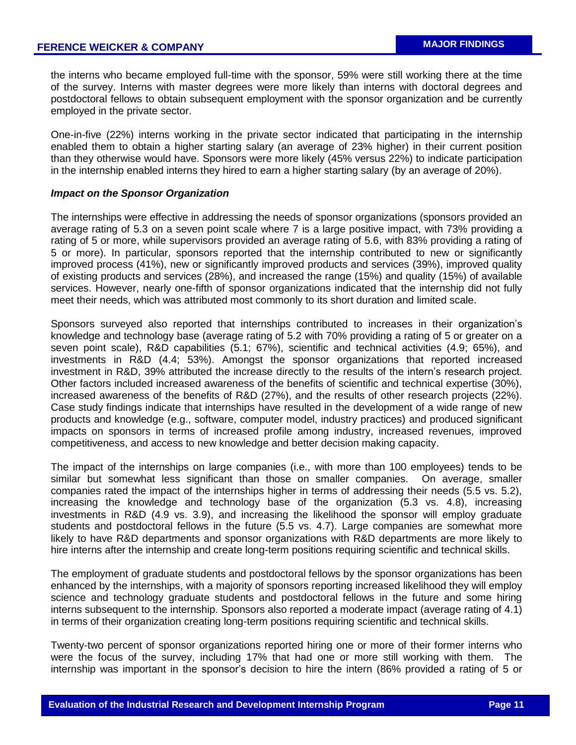the interns who became employed full-time with the sponsor, 59% were still working there at the time of the survey. Interns with master degrees were more likely than interns with doctoral degrees and postdoctoral fellows to obtain subsequent employment with the sponsor organization and be currently employed in the private sector.

One-in-five (22%) interns working in the private sector indicated that participating in the internship enabled them to obtain a higher starting salary (an average of 23% higher) in their current position than they otherwise would have. Sponsors were more likely (45% versus 22%) to indicate participation in the internship enabled interns they hired to earn a higher starting salary (by an average of 20%).

#### *Impact on the Sponsor Organization*

The internships were effective in addressing the needs of sponsor organizations (sponsors provided an average rating of 5.3 on a seven point scale where 7 is a large positive impact, with 73% providing a rating of 5 or more, while supervisors provided an average rating of 5.6, with 83% providing a rating of 5 or more). In particular, sponsors reported that the internship contributed to new or significantly improved process (41%), new or significantly improved products and services (39%), improved quality of existing products and services (28%), and increased the range (15%) and quality (15%) of available services. However, nearly one-fifth of sponsor organizations indicated that the internship did not fully meet their needs, which was attributed most commonly to its short duration and limited scale.

Sponsors surveyed also reported that internships contributed to increases in their organization's knowledge and technology base (average rating of 5.2 with 70% providing a rating of 5 or greater on a seven point scale), R&D capabilities (5.1; 67%), scientific and technical activities (4.9; 65%), and investments in R&D (4.4; 53%). Amongst the sponsor organizations that reported increased investment in R&D, 39% attributed the increase directly to the results of the intern's research project. Other factors included increased awareness of the benefits of scientific and technical expertise (30%), increased awareness of the benefits of R&D (27%), and the results of other research projects (22%). Case study findings indicate that internships have resulted in the development of a wide range of new products and knowledge (e.g., software, computer model, industry practices) and produced significant impacts on sponsors in terms of increased profile among industry, increased revenues, improved competitiveness, and access to new knowledge and better decision making capacity.

The impact of the internships on large companies (i.e., with more than 100 employees) tends to be similar but somewhat less significant than those on smaller companies. On average, smaller companies rated the impact of the internships higher in terms of addressing their needs (5.5 vs. 5.2), increasing the knowledge and technology base of the organization (5.3 vs. 4.8), increasing investments in R&D (4.9 vs. 3.9), and increasing the likelihood the sponsor will employ graduate students and postdoctoral fellows in the future (5.5 vs. 4.7). Large companies are somewhat more likely to have R&D departments and sponsor organizations with R&D departments are more likely to hire interns after the internship and create long-term positions requiring scientific and technical skills.

The employment of graduate students and postdoctoral fellows by the sponsor organizations has been enhanced by the internships, with a majority of sponsors reporting increased likelihood they will employ science and technology graduate students and postdoctoral fellows in the future and some hiring interns subsequent to the internship. Sponsors also reported a moderate impact (average rating of 4.1) in terms of their organization creating long-term positions requiring scientific and technical skills.

Twenty-two percent of sponsor organizations reported hiring one or more of their former interns who were the focus of the survey, including 17% that had one or more still working with them. The internship was important in the sponsor's decision to hire the intern (86% provided a rating of 5 or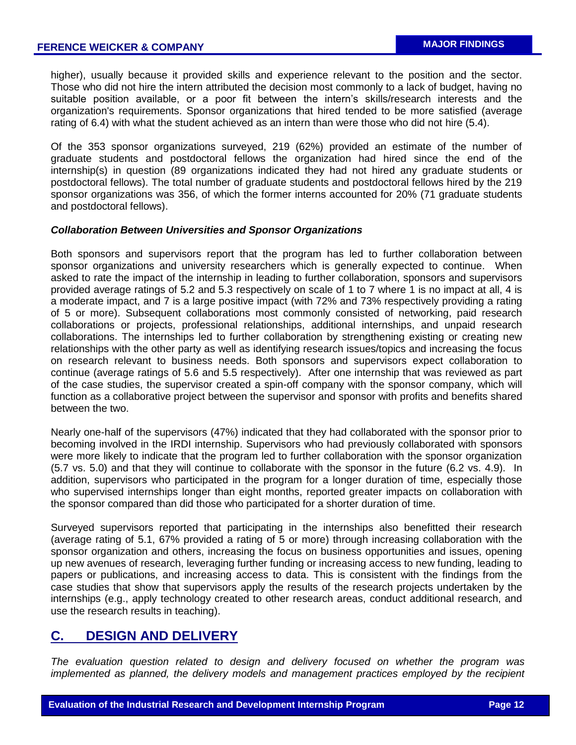higher), usually because it provided skills and experience relevant to the position and the sector. Those who did not hire the intern attributed the decision most commonly to a lack of budget, having no suitable position available, or a poor fit between the intern's skills/research interests and the organization's requirements. Sponsor organizations that hired tended to be more satisfied (average rating of 6.4) with what the student achieved as an intern than were those who did not hire (5.4).

Of the 353 sponsor organizations surveyed, 219 (62%) provided an estimate of the number of graduate students and postdoctoral fellows the organization had hired since the end of the internship(s) in question (89 organizations indicated they had not hired any graduate students or postdoctoral fellows). The total number of graduate students and postdoctoral fellows hired by the 219 sponsor organizations was 356, of which the former interns accounted for 20% (71 graduate students and postdoctoral fellows).

### *Collaboration Between Universities and Sponsor Organizations*

Both sponsors and supervisors report that the program has led to further collaboration between sponsor organizations and university researchers which is generally expected to continue. When asked to rate the impact of the internship in leading to further collaboration, sponsors and supervisors provided average ratings of 5.2 and 5.3 respectively on scale of 1 to 7 where 1 is no impact at all, 4 is a moderate impact, and 7 is a large positive impact (with 72% and 73% respectively providing a rating of 5 or more). Subsequent collaborations most commonly consisted of networking, paid research collaborations or projects, professional relationships, additional internships, and unpaid research collaborations. The internships led to further collaboration by strengthening existing or creating new relationships with the other party as well as identifying research issues/topics and increasing the focus on research relevant to business needs. Both sponsors and supervisors expect collaboration to continue (average ratings of 5.6 and 5.5 respectively). After one internship that was reviewed as part of the case studies, the supervisor created a spin-off company with the sponsor company, which will function as a collaborative project between the supervisor and sponsor with profits and benefits shared between the two.

Nearly one-half of the supervisors (47%) indicated that they had collaborated with the sponsor prior to becoming involved in the IRDI internship. Supervisors who had previously collaborated with sponsors were more likely to indicate that the program led to further collaboration with the sponsor organization (5.7 vs. 5.0) and that they will continue to collaborate with the sponsor in the future (6.2 vs. 4.9). In addition, supervisors who participated in the program for a longer duration of time, especially those who supervised internships longer than eight months, reported greater impacts on collaboration with the sponsor compared than did those who participated for a shorter duration of time.

Surveyed supervisors reported that participating in the internships also benefitted their research (average rating of 5.1, 67% provided a rating of 5 or more) through increasing collaboration with the sponsor organization and others, increasing the focus on business opportunities and issues, opening up new avenues of research, leveraging further funding or increasing access to new funding, leading to papers or publications, and increasing access to data. This is consistent with the findings from the case studies that show that supervisors apply the results of the research projects undertaken by the internships (e.g., apply technology created to other research areas, conduct additional research, and use the research results in teaching).

# **C. DESIGN AND DELIVERY**

*The evaluation question related to design and delivery focused on whether the program was implemented as planned, the delivery models and management practices employed by the recipient*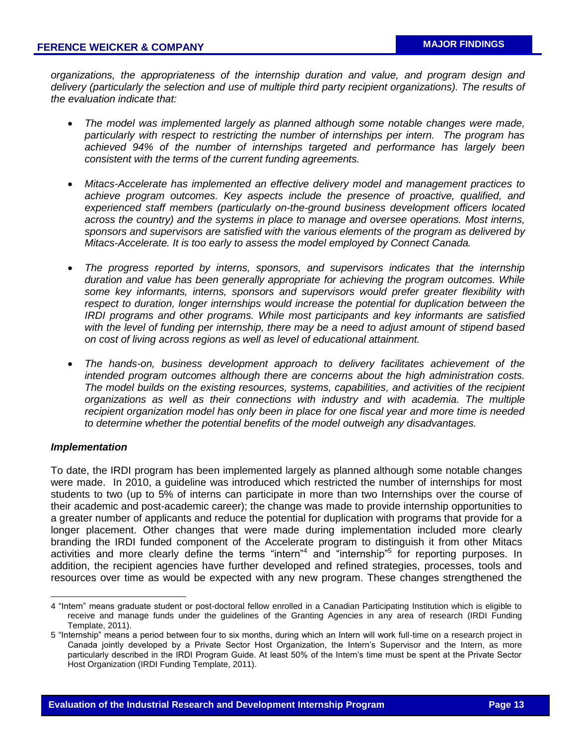*organizations, the appropriateness of the internship duration and value, and program design and*  delivery (particularly the selection and use of multiple third party recipient organizations). The results of *the evaluation indicate that:*

- *The model was implemented largely as planned although some notable changes were made, particularly with respect to restricting the number of internships per intern. The program has achieved 94% of the number of internships targeted and performance has largely been consistent with the terms of the current funding agreements.*
- *Mitacs-Accelerate has implemented an effective delivery model and management practices to achieve program outcomes. Key aspects include the presence of proactive, qualified, and experienced staff members (particularly on-the-ground business development officers located across the country) and the systems in place to manage and oversee operations. Most interns, sponsors and supervisors are satisfied with the various elements of the program as delivered by Mitacs-Accelerate. It is too early to assess the model employed by Connect Canada.*
- *The progress reported by interns, sponsors, and supervisors indicates that the internship duration and value has been generally appropriate for achieving the program outcomes. While some key informants, interns, sponsors and supervisors would prefer greater flexibility with respect to duration, longer internships would increase the potential for duplication between the IRDI programs and other programs. While most participants and key informants are satisfied with the level of funding per internship, there may be a need to adjust amount of stipend based on cost of living across regions as well as level of educational attainment.*
- *The hands-on, business development approach to delivery facilitates achievement of the intended program outcomes although there are concerns about the high administration costs. The model builds on the existing resources, systems, capabilities, and activities of the recipient organizations as well as their connections with industry and with academia. The multiple recipient organization model has only been in place for one fiscal year and more time is needed to determine whether the potential benefits of the model outweigh any disadvantages.*

## *Implementation*

 $\overline{a}$ 

To date, the IRDI program has been implemented largely as planned although some notable changes were made. In 2010, a guideline was introduced which restricted the number of internships for most students to two (up to 5% of interns can participate in more than two Internships over the course of their academic and post-academic career); the change was made to provide internship opportunities to a greater number of applicants and reduce the potential for duplication with programs that provide for a longer placement. Other changes that were made during implementation included more clearly branding the IRDI funded component of the Accelerate program to distinguish it from other Mitacs activities and more clearly define the terms "intern"<sup>4</sup> and "internship"<sup>5</sup> for reporting purposes. In addition, the recipient agencies have further developed and refined strategies, processes, tools and resources over time as would be expected with any new program. These changes strengthened the

<sup>4</sup> "Intern" means graduate student or post-doctoral fellow enrolled in a Canadian Participating Institution which is eligible to receive and manage funds under the guidelines of the Granting Agencies in any area of research (IRDI Funding Template, 2011).

<sup>5</sup> "Internship" means a period between four to six months, during which an Intern will work full-time on a research project in Canada jointly developed by a Private Sector Host Organization, the Intern's Supervisor and the Intern, as more particularly described in the IRDI Program Guide. At least 50% of the Intern's time must be spent at the Private Sector Host Organization (IRDI Funding Template, 2011).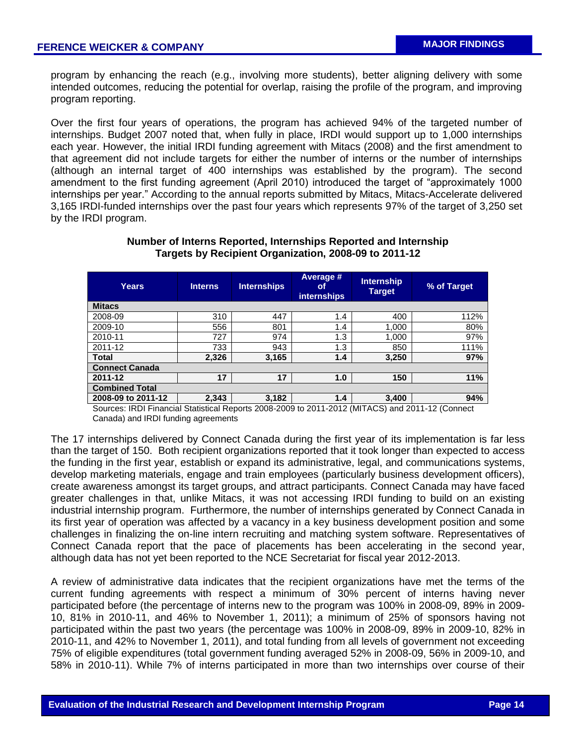program by enhancing the reach (e.g., involving more students), better aligning delivery with some intended outcomes, reducing the potential for overlap, raising the profile of the program, and improving program reporting.

Over the first four years of operations, the program has achieved 94% of the targeted number of internships. Budget 2007 noted that, when fully in place, IRDI would support up to 1,000 internships each year. However, the initial IRDI funding agreement with Mitacs (2008) and the first amendment to that agreement did not include targets for either the number of interns or the number of internships (although an internal target of 400 internships was established by the program). The second amendment to the first funding agreement (April 2010) introduced the target of "approximately 1000 internships per year." According to the annual reports submitted by Mitacs, Mitacs-Accelerate delivered 3,165 IRDI-funded internships over the past four years which represents 97% of the target of 3,250 set by the IRDI program.

| <b>Years</b>          | <b>Interns</b> |       | Average #<br><b>Internships</b><br>οf<br><b>internships</b> |       | <b>Internship</b><br><b>Target</b> | % of Target |  |  |  |
|-----------------------|----------------|-------|-------------------------------------------------------------|-------|------------------------------------|-------------|--|--|--|
| <b>Mitacs</b>         |                |       |                                                             |       |                                    |             |  |  |  |
| 2008-09               | 310            | 447   | 1.4                                                         | 400   | 112%                               |             |  |  |  |
| 2009-10               | 556            | 801   | 1.4                                                         | 1,000 | 80%                                |             |  |  |  |
| 2010-11               | 727            | 974   | 1.3                                                         | 1,000 | 97%                                |             |  |  |  |
| 2011-12               | 733            | 943   | 1.3                                                         | 850   | 111%                               |             |  |  |  |
| <b>Total</b>          | 2,326          | 3,165 | 1.4                                                         | 3,250 | 97%                                |             |  |  |  |
| <b>Connect Canada</b> |                |       |                                                             |       |                                    |             |  |  |  |
| 2011-12               | 17             | 17    | 1.0                                                         | 150   | 11%                                |             |  |  |  |
| <b>Combined Total</b> |                |       |                                                             |       |                                    |             |  |  |  |
| 2008-09 to 2011-12    | 2,343          | 3,182 | 1.4                                                         | 3,400 | 94%                                |             |  |  |  |

## **Number of Interns Reported, Internships Reported and Internship Targets by Recipient Organization, 2008-09 to 2011-12**

Sources: IRDI Financial Statistical Reports 2008-2009 to 2011-2012 (MITACS) and 2011-12 (Connect Canada) and IRDI funding agreements

The 17 internships delivered by Connect Canada during the first year of its implementation is far less than the target of 150. Both recipient organizations reported that it took longer than expected to access the funding in the first year, establish or expand its administrative, legal, and communications systems, develop marketing materials, engage and train employees (particularly business development officers), create awareness amongst its target groups, and attract participants. Connect Canada may have faced greater challenges in that, unlike Mitacs, it was not accessing IRDI funding to build on an existing industrial internship program. Furthermore, the number of internships generated by Connect Canada in its first year of operation was affected by a vacancy in a key business development position and some challenges in finalizing the on-line intern recruiting and matching system software. Representatives of Connect Canada report that the pace of placements has been accelerating in the second year, although data has not yet been reported to the NCE Secretariat for fiscal year 2012-2013.

A review of administrative data indicates that the recipient organizations have met the terms of the current funding agreements with respect a minimum of 30% percent of interns having never participated before (the percentage of interns new to the program was 100% in 2008-09, 89% in 2009- 10, 81% in 2010-11, and 46% to November 1, 2011); a minimum of 25% of sponsors having not participated within the past two years (the percentage was 100% in 2008-09, 89% in 2009-10, 82% in 2010-11, and 42% to November 1, 2011), and total funding from all levels of government not exceeding 75% of eligible expenditures (total government funding averaged 52% in 2008-09, 56% in 2009-10, and 58% in 2010-11). While 7% of interns participated in more than two internships over course of their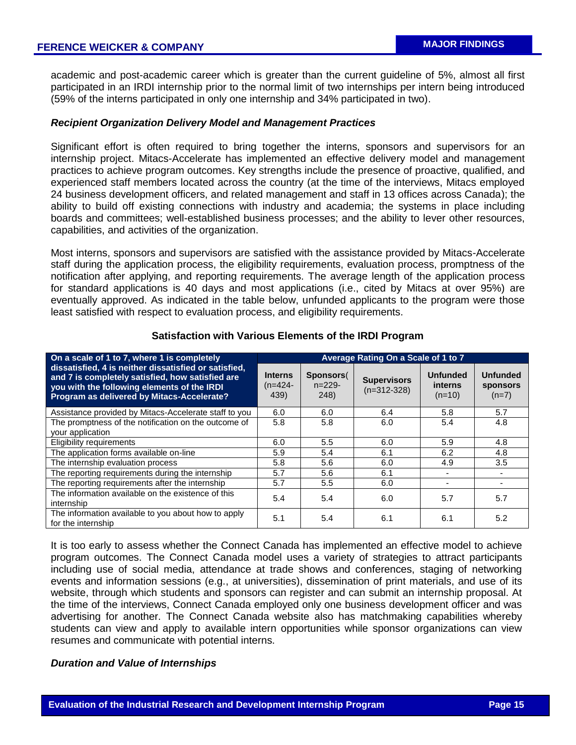academic and post-academic career which is greater than the current guideline of 5%, almost all first participated in an IRDI internship prior to the normal limit of two internships per intern being introduced (59% of the interns participated in only one internship and 34% participated in two).

## *Recipient Organization Delivery Model and Management Practices*

Significant effort is often required to bring together the interns, sponsors and supervisors for an internship project. Mitacs-Accelerate has implemented an effective delivery model and management practices to achieve program outcomes. Key strengths include the presence of proactive, qualified, and experienced staff members located across the country (at the time of the interviews, Mitacs employed 24 business development officers, and related management and staff in 13 offices across Canada); the ability to build off existing connections with industry and academia; the systems in place including boards and committees; well-established business processes; and the ability to lever other resources, capabilities, and activities of the organization.

Most interns, sponsors and supervisors are satisfied with the assistance provided by Mitacs-Accelerate staff during the application process, the eligibility requirements, evaluation process, promptness of the notification after applying, and reporting requirements. The average length of the application process for standard applications is 40 days and most applications (i.e., cited by Mitacs at over 95%) are eventually approved. As indicated in the table below, unfunded applicants to the program were those least satisfied with respect to evaluation process, and eligibility requirements.

| On a scale of 1 to 7, where 1 is completely                                                                                                                                                            | Average Rating On a Scale of 1 to 7 |                               |                                     |                                               |                                        |  |  |
|--------------------------------------------------------------------------------------------------------------------------------------------------------------------------------------------------------|-------------------------------------|-------------------------------|-------------------------------------|-----------------------------------------------|----------------------------------------|--|--|
| dissatisfied, 4 is neither dissatisfied or satisfied,<br>and 7 is completely satisfied, how satisfied are<br>you with the following elements of the IRDI<br>Program as delivered by Mitacs-Accelerate? | <b>Interns</b><br>$(n=424-$<br>439) | Sponsors(<br>$n=229-$<br>248) | <b>Supervisors</b><br>$(n=312-328)$ | <b>Unfunded</b><br><i>interns</i><br>$(n=10)$ | <b>Unfunded</b><br>sponsors<br>$(n=7)$ |  |  |
| Assistance provided by Mitacs-Accelerate staff to you                                                                                                                                                  | 6.0                                 | 6.0                           | 6.4                                 | 5.8                                           | 5.7                                    |  |  |
| The promptness of the notification on the outcome of                                                                                                                                                   | 5.8                                 | 5.8                           | 6.0                                 | 5.4                                           | 4.8                                    |  |  |
| your application                                                                                                                                                                                       |                                     |                               |                                     |                                               |                                        |  |  |
| Eligibility requirements                                                                                                                                                                               | 6.0                                 | 5.5                           | 6.0                                 | 5.9                                           | 4.8                                    |  |  |
| The application forms available on-line                                                                                                                                                                | 5.9                                 | 5.4                           | 6.1                                 | 6.2                                           | 4.8                                    |  |  |
| The internship evaluation process                                                                                                                                                                      | 5.8                                 | 5.6                           | 6.0                                 | 4.9                                           | 3.5                                    |  |  |
| The reporting requirements during the internship                                                                                                                                                       | 5.7                                 | 5.6                           | 6.1                                 |                                               |                                        |  |  |
| The reporting requirements after the internship                                                                                                                                                        | 5.7                                 | 5.5                           | 6.0                                 |                                               |                                        |  |  |
| The information available on the existence of this<br>internship                                                                                                                                       | 5.4                                 | 5.4                           | 6.0                                 | 5.7                                           | 5.7                                    |  |  |
| The information available to you about how to apply<br>for the internship                                                                                                                              | 5.1                                 | 5.4                           | 6.1                                 | 6.1                                           | 5.2                                    |  |  |

#### **Satisfaction with Various Elements of the IRDI Program**

It is too early to assess whether the Connect Canada has implemented an effective model to achieve program outcomes. The Connect Canada model uses a variety of strategies to attract participants including use of social media, attendance at trade shows and conferences, staging of networking events and information sessions (e.g., at universities), dissemination of print materials, and use of its website, through which students and sponsors can register and can submit an internship proposal. At the time of the interviews, Connect Canada employed only one business development officer and was advertising for another. The Connect Canada website also has matchmaking capabilities whereby students can view and apply to available intern opportunities while sponsor organizations can view resumes and communicate with potential interns.

### *Duration and Value of Internships*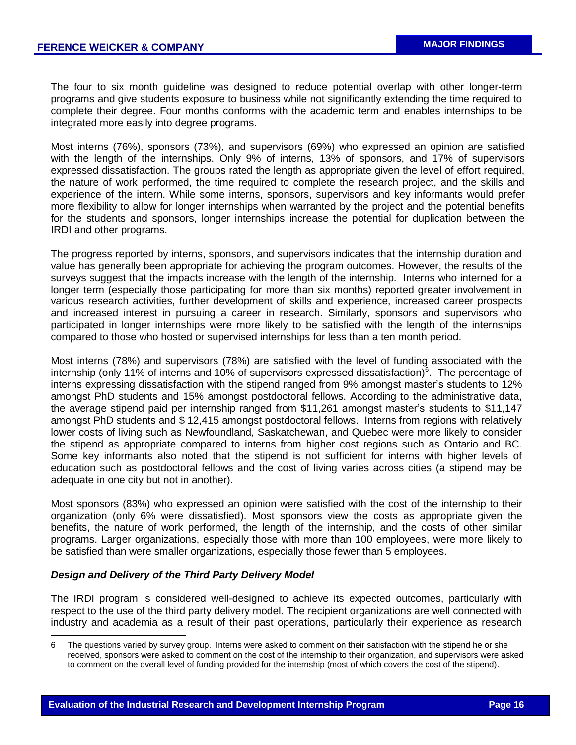The four to six month guideline was designed to reduce potential overlap with other longer-term programs and give students exposure to business while not significantly extending the time required to complete their degree. Four months conforms with the academic term and enables internships to be integrated more easily into degree programs.

Most interns (76%), sponsors (73%), and supervisors (69%) who expressed an opinion are satisfied with the length of the internships. Only 9% of interns, 13% of sponsors, and 17% of supervisors expressed dissatisfaction. The groups rated the length as appropriate given the level of effort required, the nature of work performed, the time required to complete the research project, and the skills and experience of the intern. While some interns, sponsors, supervisors and key informants would prefer more flexibility to allow for longer internships when warranted by the project and the potential benefits for the students and sponsors, longer internships increase the potential for duplication between the IRDI and other programs.

The progress reported by interns, sponsors, and supervisors indicates that the internship duration and value has generally been appropriate for achieving the program outcomes. However, the results of the surveys suggest that the impacts increase with the length of the internship. Interns who interned for a longer term (especially those participating for more than six months) reported greater involvement in various research activities, further development of skills and experience, increased career prospects and increased interest in pursuing a career in research. Similarly, sponsors and supervisors who participated in longer internships were more likely to be satisfied with the length of the internships compared to those who hosted or supervised internships for less than a ten month period.

Most interns (78%) and supervisors (78%) are satisfied with the level of funding associated with the internship (only 11% of interns and 10% of supervisors expressed dissatisfaction) $6$ . The percentage of interns expressing dissatisfaction with the stipend ranged from 9% amongst master's students to 12% amongst PhD students and 15% amongst postdoctoral fellows. According to the administrative data, the average stipend paid per internship ranged from \$11,261 amongst master's students to \$11,147 amongst PhD students and \$ 12,415 amongst postdoctoral fellows. Interns from regions with relatively lower costs of living such as Newfoundland, Saskatchewan, and Quebec were more likely to consider the stipend as appropriate compared to interns from higher cost regions such as Ontario and BC. Some key informants also noted that the stipend is not sufficient for interns with higher levels of education such as postdoctoral fellows and the cost of living varies across cities (a stipend may be adequate in one city but not in another).

Most sponsors (83%) who expressed an opinion were satisfied with the cost of the internship to their organization (only 6% were dissatisfied). Most sponsors view the costs as appropriate given the benefits, the nature of work performed, the length of the internship, and the costs of other similar programs. Larger organizations, especially those with more than 100 employees, were more likely to be satisfied than were smaller organizations, especially those fewer than 5 employees.

## *Design and Delivery of the Third Party Delivery Model*

 $\overline{a}$ 

The IRDI program is considered well-designed to achieve its expected outcomes, particularly with respect to the use of the third party delivery model. The recipient organizations are well connected with industry and academia as a result of their past operations, particularly their experience as research

<sup>6</sup> The questions varied by survey group. Interns were asked to comment on their satisfaction with the stipend he or she received, sponsors were asked to comment on the cost of the internship to their organization, and supervisors were asked to comment on the overall level of funding provided for the internship (most of which covers the cost of the stipend).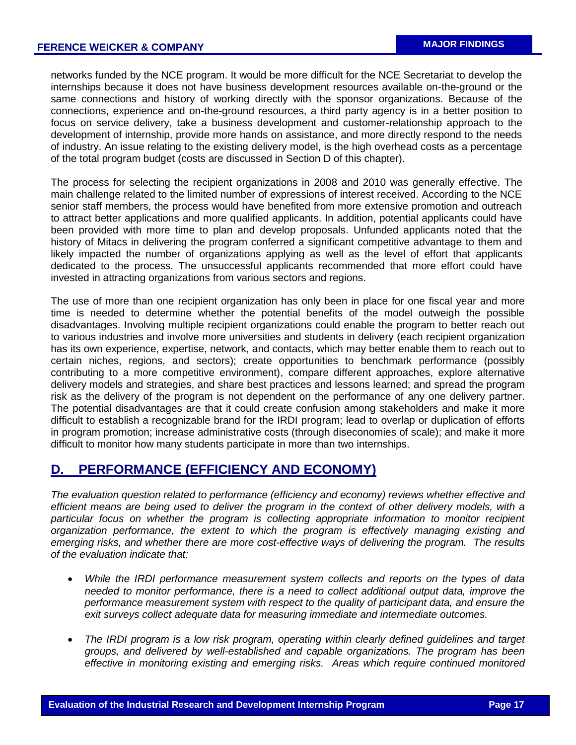networks funded by the NCE program. It would be more difficult for the NCE Secretariat to develop the internships because it does not have business development resources available on-the-ground or the same connections and history of working directly with the sponsor organizations. Because of the connections, experience and on-the-ground resources, a third party agency is in a better position to focus on service delivery, take a business development and customer-relationship approach to the development of internship, provide more hands on assistance, and more directly respond to the needs of industry. An issue relating to the existing delivery model, is the high overhead costs as a percentage of the total program budget (costs are discussed in Section D of this chapter).

The process for selecting the recipient organizations in 2008 and 2010 was generally effective. The main challenge related to the limited number of expressions of interest received. According to the NCE senior staff members, the process would have benefited from more extensive promotion and outreach to attract better applications and more qualified applicants. In addition, potential applicants could have been provided with more time to plan and develop proposals. Unfunded applicants noted that the history of Mitacs in delivering the program conferred a significant competitive advantage to them and likely impacted the number of organizations applying as well as the level of effort that applicants dedicated to the process. The unsuccessful applicants recommended that more effort could have invested in attracting organizations from various sectors and regions.

The use of more than one recipient organization has only been in place for one fiscal year and more time is needed to determine whether the potential benefits of the model outweigh the possible disadvantages. Involving multiple recipient organizations could enable the program to better reach out to various industries and involve more universities and students in delivery (each recipient organization has its own experience, expertise, network, and contacts, which may better enable them to reach out to certain niches, regions, and sectors); create opportunities to benchmark performance (possibly contributing to a more competitive environment), compare different approaches, explore alternative delivery models and strategies, and share best practices and lessons learned; and spread the program risk as the delivery of the program is not dependent on the performance of any one delivery partner. The potential disadvantages are that it could create confusion among stakeholders and make it more difficult to establish a recognizable brand for the IRDI program; lead to overlap or duplication of efforts in program promotion; increase administrative costs (through diseconomies of scale); and make it more difficult to monitor how many students participate in more than two internships.

# **D. PERFORMANCE (EFFICIENCY AND ECONOMY)**

*The evaluation question related to performance (efficiency and economy) reviews whether effective and efficient means are being used to deliver the program in the context of other delivery models, with a particular focus on whether the program is collecting appropriate information to monitor recipient organization performance, the extent to which the program is effectively managing existing and emerging risks, and whether there are more cost-effective ways of delivering the program. The results of the evaluation indicate that:*

- *While the IRDI performance measurement system collects and reports on the types of data needed to monitor performance, there is a need to collect additional output data, improve the performance measurement system with respect to the quality of participant data, and ensure the exit surveys collect adequate data for measuring immediate and intermediate outcomes.*
- *The IRDI program is a low risk program, operating within clearly defined guidelines and target groups, and delivered by well-established and capable organizations. The program has been effective in monitoring existing and emerging risks. Areas which require continued monitored*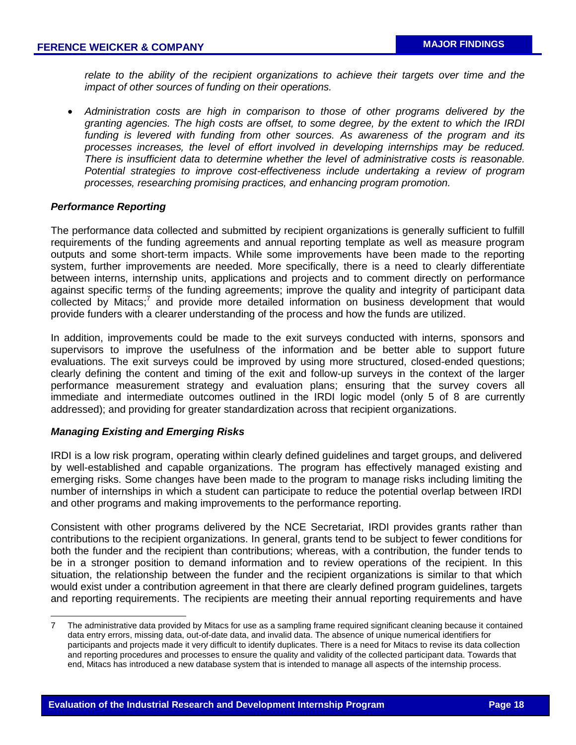*relate to the ability of the recipient organizations to achieve their targets over time and the impact of other sources of funding on their operations.* 

 *Administration costs are high in comparison to those of other programs delivered by the granting agencies. The high costs are offset, to some degree, by the extent to which the IRDI funding is levered with funding from other sources. As awareness of the program and its processes increases, the level of effort involved in developing internships may be reduced. There is insufficient data to determine whether the level of administrative costs is reasonable. Potential strategies to improve cost-effectiveness include undertaking a review of program processes, researching promising practices, and enhancing program promotion.*

#### *Performance Reporting*

The performance data collected and submitted by recipient organizations is generally sufficient to fulfill requirements of the funding agreements and annual reporting template as well as measure program outputs and some short-term impacts. While some improvements have been made to the reporting system, further improvements are needed. More specifically, there is a need to clearly differentiate between interns, internship units, applications and projects and to comment directly on performance against specific terms of the funding agreements; improve the quality and integrity of participant data collected by Mitacs;<sup>7</sup> and provide more detailed information on business development that would provide funders with a clearer understanding of the process and how the funds are utilized.

In addition, improvements could be made to the exit surveys conducted with interns, sponsors and supervisors to improve the usefulness of the information and be better able to support future evaluations. The exit surveys could be improved by using more structured, closed-ended questions; clearly defining the content and timing of the exit and follow-up surveys in the context of the larger performance measurement strategy and evaluation plans; ensuring that the survey covers all immediate and intermediate outcomes outlined in the IRDI logic model (only 5 of 8 are currently addressed); and providing for greater standardization across that recipient organizations.

#### *Managing Existing and Emerging Risks*

l

IRDI is a low risk program, operating within clearly defined guidelines and target groups, and delivered by well-established and capable organizations. The program has effectively managed existing and emerging risks. Some changes have been made to the program to manage risks including limiting the number of internships in which a student can participate to reduce the potential overlap between IRDI and other programs and making improvements to the performance reporting.

Consistent with other programs delivered by the NCE Secretariat, IRDI provides grants rather than contributions to the recipient organizations. In general, grants tend to be subject to fewer conditions for both the funder and the recipient than contributions; whereas, with a contribution, the funder tends to be in a stronger position to demand information and to review operations of the recipient. In this situation, the relationship between the funder and the recipient organizations is similar to that which would exist under a contribution agreement in that there are clearly defined program guidelines, targets and reporting requirements. The recipients are meeting their annual reporting requirements and have

<sup>7</sup> The administrative data provided by Mitacs for use as a sampling frame required significant cleaning because it contained data entry errors, missing data, out-of-date data, and invalid data. The absence of unique numerical identifiers for participants and projects made it very difficult to identify duplicates. There is a need for Mitacs to revise its data collection and reporting procedures and processes to ensure the quality and validity of the collected participant data. Towards that end, Mitacs has introduced a new database system that is intended to manage all aspects of the internship process.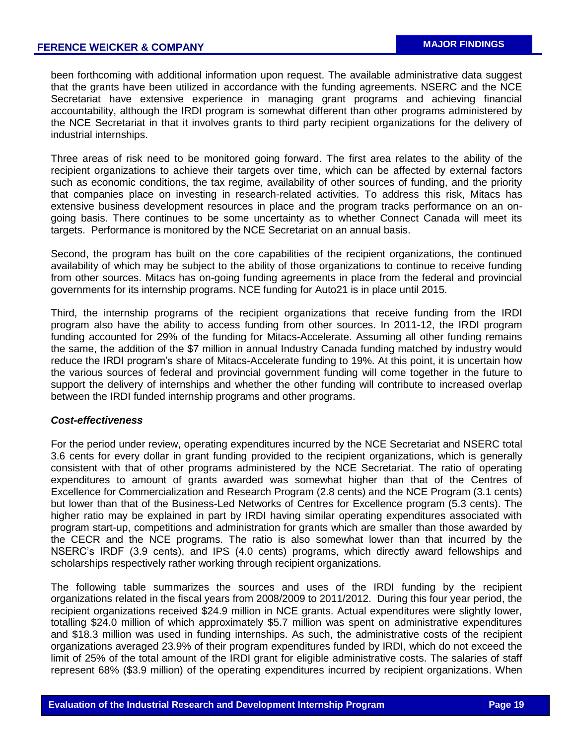been forthcoming with additional information upon request. The available administrative data suggest that the grants have been utilized in accordance with the funding agreements. NSERC and the NCE Secretariat have extensive experience in managing grant programs and achieving financial accountability, although the IRDI program is somewhat different than other programs administered by the NCE Secretariat in that it involves grants to third party recipient organizations for the delivery of industrial internships.

Three areas of risk need to be monitored going forward. The first area relates to the ability of the recipient organizations to achieve their targets over time, which can be affected by external factors such as economic conditions, the tax regime, availability of other sources of funding, and the priority that companies place on investing in research-related activities. To address this risk, Mitacs has extensive business development resources in place and the program tracks performance on an ongoing basis. There continues to be some uncertainty as to whether Connect Canada will meet its targets. Performance is monitored by the NCE Secretariat on an annual basis.

Second, the program has built on the core capabilities of the recipient organizations, the continued availability of which may be subject to the ability of those organizations to continue to receive funding from other sources. Mitacs has on-going funding agreements in place from the federal and provincial governments for its internship programs. NCE funding for Auto21 is in place until 2015.

Third, the internship programs of the recipient organizations that receive funding from the IRDI program also have the ability to access funding from other sources. In 2011-12, the IRDI program funding accounted for 29% of the funding for Mitacs-Accelerate. Assuming all other funding remains the same, the addition of the \$7 million in annual Industry Canada funding matched by industry would reduce the IRDI program's share of Mitacs-Accelerate funding to 19%. At this point, it is uncertain how the various sources of federal and provincial government funding will come together in the future to support the delivery of internships and whether the other funding will contribute to increased overlap between the IRDI funded internship programs and other programs.

#### *Cost-effectiveness*

For the period under review, operating expenditures incurred by the NCE Secretariat and NSERC total 3.6 cents for every dollar in grant funding provided to the recipient organizations, which is generally consistent with that of other programs administered by the NCE Secretariat. The ratio of operating expenditures to amount of grants awarded was somewhat higher than that of the Centres of Excellence for Commercialization and Research Program (2.8 cents) and the NCE Program (3.1 cents) but lower than that of the Business-Led Networks of Centres for Excellence program (5.3 cents). The higher ratio may be explained in part by IRDI having similar operating expenditures associated with program start-up, competitions and administration for grants which are smaller than those awarded by the CECR and the NCE programs. The ratio is also somewhat lower than that incurred by the NSERC's IRDF (3.9 cents), and IPS (4.0 cents) programs, which directly award fellowships and scholarships respectively rather working through recipient organizations.

The following table summarizes the sources and uses of the IRDI funding by the recipient organizations related in the fiscal years from 2008/2009 to 2011/2012. During this four year period, the recipient organizations received \$24.9 million in NCE grants. Actual expenditures were slightly lower, totalling \$24.0 million of which approximately \$5.7 million was spent on administrative expenditures and \$18.3 million was used in funding internships. As such, the administrative costs of the recipient organizations averaged 23.9% of their program expenditures funded by IRDI, which do not exceed the limit of 25% of the total amount of the IRDI grant for eligible administrative costs. The salaries of staff represent 68% (\$3.9 million) of the operating expenditures incurred by recipient organizations. When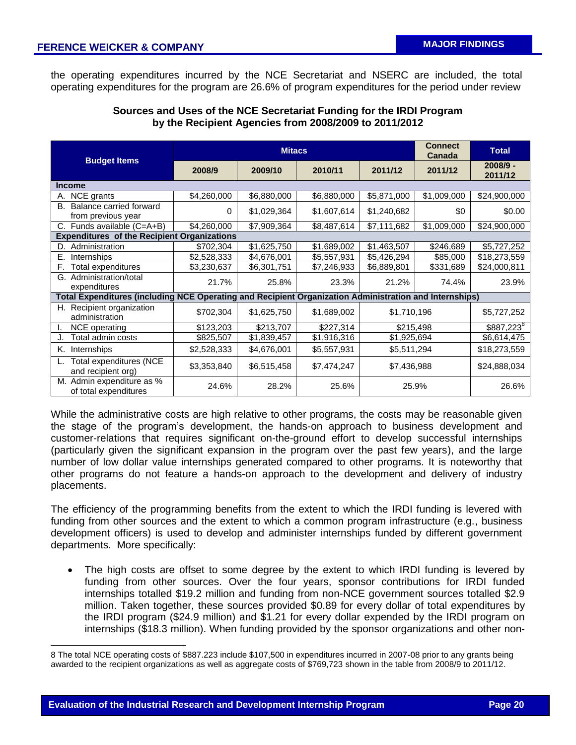the operating expenditures incurred by the NCE Secretariat and NSERC are included, the total operating expenditures for the program are 26.6% of program expenditures for the period under review

# **Sources and Uses of the NCE Secretariat Funding for the IRDI Program by the Recipient Agencies from 2008/2009 to 2011/2012**

|                                                                                                        |             | <b>Mitacs</b> | <b>Connect</b><br><b>Canada</b> | <b>Total</b> |             |                        |
|--------------------------------------------------------------------------------------------------------|-------------|---------------|---------------------------------|--------------|-------------|------------------------|
| <b>Budget Items</b>                                                                                    | 2008/9      | 2009/10       | 2010/11                         | 2011/12      |             | $2008/9 -$<br>2011/12  |
| <b>Income</b>                                                                                          |             |               |                                 |              |             |                        |
| NCE grants<br>А.                                                                                       | \$4,260,000 | \$6,880,000   | \$6,880,000                     | \$5,871,000  | \$1,009,000 | \$24,900,000           |
| Balance carried forward<br>В.<br>from previous year                                                    | 0           | \$1,029,364   | \$1,607,614                     | \$1,240,682  | \$0         | \$0.00                 |
| C. Funds available (C=A+B)                                                                             | \$4,260,000 | \$7,909,364   | \$8,487,614                     | \$7,111,682  | \$1,009,000 | \$24,900,000           |
| <b>Expenditures of the Recipient Organizations</b>                                                     |             |               |                                 |              |             |                        |
| Administration<br>D.                                                                                   | \$702,304   | \$1,625,750   | \$1,689,002                     | \$1,463,507  | \$246,689   | \$5,727,252            |
| Internships<br>Е.                                                                                      | \$2,528,333 | \$4,676,001   | \$5,557,931                     | \$5,426,294  | \$85,000    | \$18,273,559           |
| F.<br>Total expenditures                                                                               | \$3,230,637 | \$6,301,751   | \$7,246,933                     | \$6,889,801  | \$331,689   | \$24,000,811           |
| Administration/total<br>G.<br>expenditures                                                             | 21.7%       | 25.8%         | 23.3%                           | 21.2%        | 74.4%       | 23.9%                  |
| Total Expenditures (including NCE Operating and Recipient Organization Administration and Internships) |             |               |                                 |              |             |                        |
| H. Recipient organization<br>administration                                                            | \$702,304   | \$1,625,750   | \$1,689,002                     | \$1,710,196  |             | \$5,727,252            |
| NCE operating                                                                                          | \$123,203   | \$213,707     | \$227,314                       | \$215,498    |             | \$887,223 <sup>8</sup> |
| Total admin costs                                                                                      | \$825,507   | \$1,839,457   | \$1,916,316                     | \$1,925,694  |             | \$6,614,475            |
| Κ.<br>Internships                                                                                      | \$2,528,333 | \$4,676,001   | \$5,557,931                     | \$5,511,294  |             | \$18,273,559           |
| Total expenditures (NCE<br>and recipient org)                                                          | \$3,353,840 | \$6,515,458   | \$7,474,247                     | \$7,436,988  |             | \$24,888,034           |
| M. Admin expenditure as %<br>of total expenditures                                                     | 24.6%       | 28.2%         | 25.6%                           | 25.9%        |             | 26.6%                  |

While the administrative costs are high relative to other programs, the costs may be reasonable given the stage of the program's development, the hands-on approach to business development and customer-relations that requires significant on-the-ground effort to develop successful internships (particularly given the significant expansion in the program over the past few years), and the large number of low dollar value internships generated compared to other programs. It is noteworthy that other programs do not feature a hands-on approach to the development and delivery of industry placements.

The efficiency of the programming benefits from the extent to which the IRDI funding is levered with funding from other sources and the extent to which a common program infrastructure (e.g., business development officers) is used to develop and administer internships funded by different government departments. More specifically:

 The high costs are offset to some degree by the extent to which IRDI funding is levered by funding from other sources. Over the four years, sponsor contributions for IRDI funded internships totalled \$19.2 million and funding from non-NCE government sources totalled \$2.9 million. Taken together, these sources provided \$0.89 for every dollar of total expenditures by the IRDI program (\$24.9 million) and \$1.21 for every dollar expended by the IRDI program on internships (\$18.3 million). When funding provided by the sponsor organizations and other non-

 $\overline{a}$ 

<sup>8</sup> The total NCE operating costs of \$887.223 include \$107,500 in expenditures incurred in 2007-08 prior to any grants being awarded to the recipient organizations as well as aggregate costs of \$769,723 shown in the table from 2008/9 to 2011/12.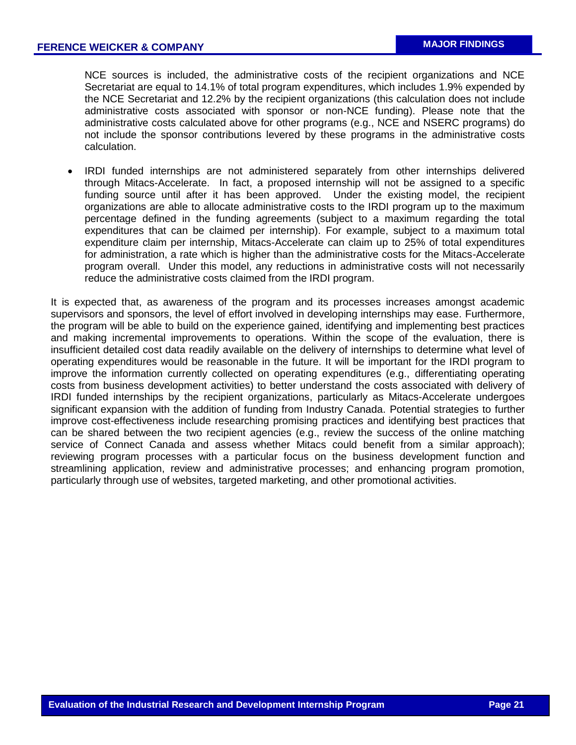NCE sources is included, the administrative costs of the recipient organizations and NCE Secretariat are equal to 14.1% of total program expenditures, which includes 1.9% expended by the NCE Secretariat and 12.2% by the recipient organizations (this calculation does not include administrative costs associated with sponsor or non-NCE funding). Please note that the administrative costs calculated above for other programs (e.g., NCE and NSERC programs) do not include the sponsor contributions levered by these programs in the administrative costs calculation.

 IRDI funded internships are not administered separately from other internships delivered through Mitacs-Accelerate. In fact, a proposed internship will not be assigned to a specific funding source until after it has been approved. Under the existing model, the recipient organizations are able to allocate administrative costs to the IRDI program up to the maximum percentage defined in the funding agreements (subject to a maximum regarding the total expenditures that can be claimed per internship). For example, subject to a maximum total expenditure claim per internship, Mitacs-Accelerate can claim up to 25% of total expenditures for administration, a rate which is higher than the administrative costs for the Mitacs-Accelerate program overall. Under this model, any reductions in administrative costs will not necessarily reduce the administrative costs claimed from the IRDI program.

It is expected that, as awareness of the program and its processes increases amongst academic supervisors and sponsors, the level of effort involved in developing internships may ease. Furthermore, the program will be able to build on the experience gained, identifying and implementing best practices and making incremental improvements to operations. Within the scope of the evaluation, there is insufficient detailed cost data readily available on the delivery of internships to determine what level of operating expenditures would be reasonable in the future. It will be important for the IRDI program to improve the information currently collected on operating expenditures (e.g., differentiating operating costs from business development activities) to better understand the costs associated with delivery of IRDI funded internships by the recipient organizations, particularly as Mitacs-Accelerate undergoes significant expansion with the addition of funding from Industry Canada. Potential strategies to further improve cost-effectiveness include researching promising practices and identifying best practices that can be shared between the two recipient agencies (e.g., review the success of the online matching service of Connect Canada and assess whether Mitacs could benefit from a similar approach); reviewing program processes with a particular focus on the business development function and streamlining application, review and administrative processes; and enhancing program promotion, particularly through use of websites, targeted marketing, and other promotional activities.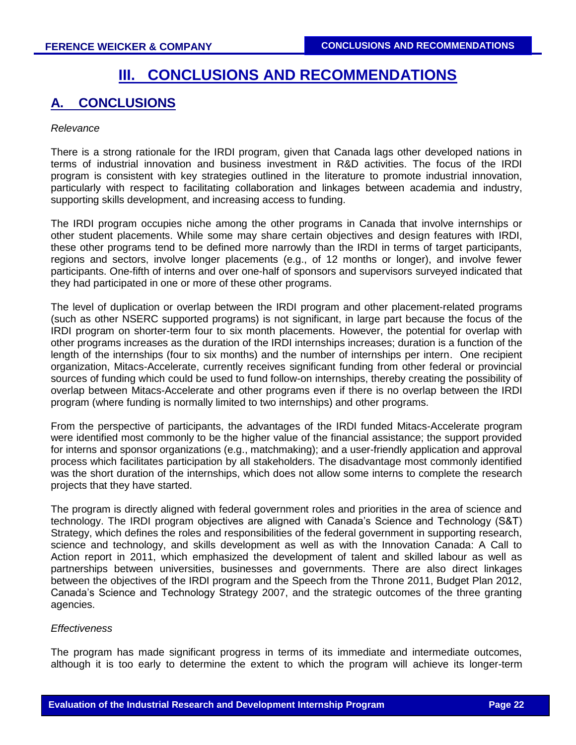# **III. CONCLUSIONS AND RECOMMENDATIONS**

# **A. CONCLUSIONS**

#### *Relevance*

There is a strong rationale for the IRDI program, given that Canada lags other developed nations in terms of industrial innovation and business investment in R&D activities. The focus of the IRDI program is consistent with key strategies outlined in the literature to promote industrial innovation, particularly with respect to facilitating collaboration and linkages between academia and industry, supporting skills development, and increasing access to funding.

The IRDI program occupies niche among the other programs in Canada that involve internships or other student placements. While some may share certain objectives and design features with IRDI, these other programs tend to be defined more narrowly than the IRDI in terms of target participants, regions and sectors, involve longer placements (e.g., of 12 months or longer), and involve fewer participants. One-fifth of interns and over one-half of sponsors and supervisors surveyed indicated that they had participated in one or more of these other programs.

The level of duplication or overlap between the IRDI program and other placement-related programs (such as other NSERC supported programs) is not significant, in large part because the focus of the IRDI program on shorter-term four to six month placements. However, the potential for overlap with other programs increases as the duration of the IRDI internships increases; duration is a function of the length of the internships (four to six months) and the number of internships per intern. One recipient organization, Mitacs-Accelerate, currently receives significant funding from other federal or provincial sources of funding which could be used to fund follow-on internships, thereby creating the possibility of overlap between Mitacs-Accelerate and other programs even if there is no overlap between the IRDI program (where funding is normally limited to two internships) and other programs.

From the perspective of participants, the advantages of the IRDI funded Mitacs-Accelerate program were identified most commonly to be the higher value of the financial assistance; the support provided for interns and sponsor organizations (e.g., matchmaking); and a user-friendly application and approval process which facilitates participation by all stakeholders. The disadvantage most commonly identified was the short duration of the internships, which does not allow some interns to complete the research projects that they have started.

The program is directly aligned with federal government roles and priorities in the area of science and technology. The IRDI program objectives are aligned with Canada's Science and Technology (S&T) Strategy, which defines the roles and responsibilities of the federal government in supporting research, science and technology, and skills development as well as with the Innovation Canada: A Call to Action report in 2011, which emphasized the development of talent and skilled labour as well as partnerships between universities, businesses and governments. There are also direct linkages between the objectives of the IRDI program and the Speech from the Throne 2011, Budget Plan 2012, Canada's Science and Technology Strategy 2007, and the strategic outcomes of the three granting agencies.

## *Effectiveness*

The program has made significant progress in terms of its immediate and intermediate outcomes, although it is too early to determine the extent to which the program will achieve its longer-term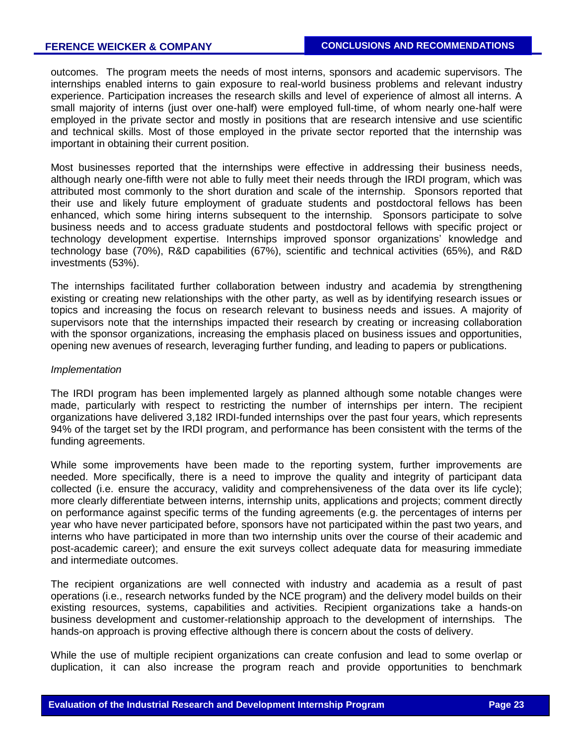# **FERENCE WEICKER & COMPANY**

outcomes. The program meets the needs of most interns, sponsors and academic supervisors. The internships enabled interns to gain exposure to real-world business problems and relevant industry experience. Participation increases the research skills and level of experience of almost all interns. A small majority of interns (just over one-half) were employed full-time, of whom nearly one-half were employed in the private sector and mostly in positions that are research intensive and use scientific and technical skills. Most of those employed in the private sector reported that the internship was important in obtaining their current position.

Most businesses reported that the internships were effective in addressing their business needs, although nearly one-fifth were not able to fully meet their needs through the IRDI program, which was attributed most commonly to the short duration and scale of the internship. Sponsors reported that their use and likely future employment of graduate students and postdoctoral fellows has been enhanced, which some hiring interns subsequent to the internship. Sponsors participate to solve business needs and to access graduate students and postdoctoral fellows with specific project or technology development expertise. Internships improved sponsor organizations' knowledge and technology base (70%), R&D capabilities (67%), scientific and technical activities (65%), and R&D investments (53%).

The internships facilitated further collaboration between industry and academia by strengthening existing or creating new relationships with the other party, as well as by identifying research issues or topics and increasing the focus on research relevant to business needs and issues. A majority of supervisors note that the internships impacted their research by creating or increasing collaboration with the sponsor organizations, increasing the emphasis placed on business issues and opportunities, opening new avenues of research, leveraging further funding, and leading to papers or publications.

#### *Implementation*

The IRDI program has been implemented largely as planned although some notable changes were made, particularly with respect to restricting the number of internships per intern. The recipient organizations have delivered 3,182 IRDI-funded internships over the past four years, which represents 94% of the target set by the IRDI program, and performance has been consistent with the terms of the funding agreements.

While some improvements have been made to the reporting system, further improvements are needed. More specifically, there is a need to improve the quality and integrity of participant data collected (i.e. ensure the accuracy, validity and comprehensiveness of the data over its life cycle); more clearly differentiate between interns, internship units, applications and projects; comment directly on performance against specific terms of the funding agreements (e.g. the percentages of interns per year who have never participated before, sponsors have not participated within the past two years, and interns who have participated in more than two internship units over the course of their academic and post-academic career); and ensure the exit surveys collect adequate data for measuring immediate and intermediate outcomes.

The recipient organizations are well connected with industry and academia as a result of past operations (i.e., research networks funded by the NCE program) and the delivery model builds on their existing resources, systems, capabilities and activities. Recipient organizations take a hands-on business development and customer-relationship approach to the development of internships. The hands-on approach is proving effective although there is concern about the costs of delivery.

While the use of multiple recipient organizations can create confusion and lead to some overlap or duplication, it can also increase the program reach and provide opportunities to benchmark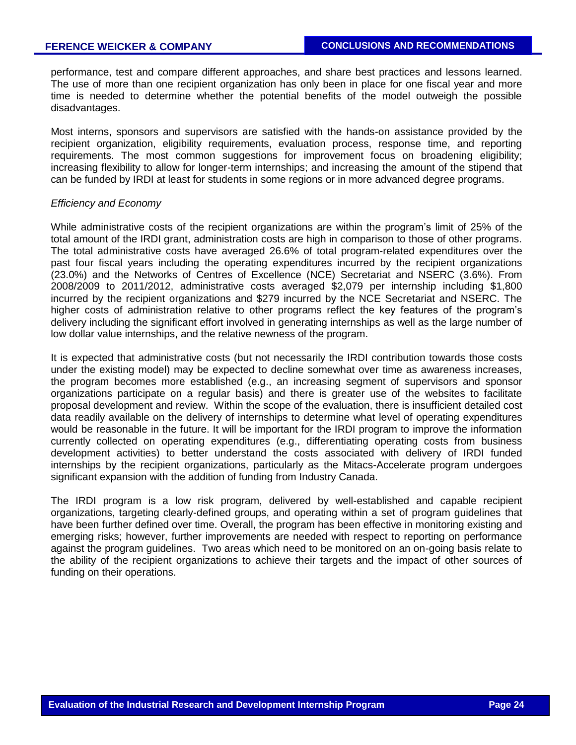performance, test and compare different approaches, and share best practices and lessons learned. The use of more than one recipient organization has only been in place for one fiscal year and more time is needed to determine whether the potential benefits of the model outweigh the possible disadvantages.

Most interns, sponsors and supervisors are satisfied with the hands-on assistance provided by the recipient organization, eligibility requirements, evaluation process, response time, and reporting requirements. The most common suggestions for improvement focus on broadening eligibility; increasing flexibility to allow for longer-term internships; and increasing the amount of the stipend that can be funded by IRDI at least for students in some regions or in more advanced degree programs.

#### *Efficiency and Economy*

While administrative costs of the recipient organizations are within the program's limit of 25% of the total amount of the IRDI grant, administration costs are high in comparison to those of other programs. The total administrative costs have averaged 26.6% of total program-related expenditures over the past four fiscal years including the operating expenditures incurred by the recipient organizations (23.0%) and the Networks of Centres of Excellence (NCE) Secretariat and NSERC (3.6%). From 2008/2009 to 2011/2012, administrative costs averaged \$2,079 per internship including \$1,800 incurred by the recipient organizations and \$279 incurred by the NCE Secretariat and NSERC. The higher costs of administration relative to other programs reflect the key features of the program's delivery including the significant effort involved in generating internships as well as the large number of low dollar value internships, and the relative newness of the program.

It is expected that administrative costs (but not necessarily the IRDI contribution towards those costs under the existing model) may be expected to decline somewhat over time as awareness increases, the program becomes more established (e.g., an increasing segment of supervisors and sponsor organizations participate on a regular basis) and there is greater use of the websites to facilitate proposal development and review. Within the scope of the evaluation, there is insufficient detailed cost data readily available on the delivery of internships to determine what level of operating expenditures would be reasonable in the future. It will be important for the IRDI program to improve the information currently collected on operating expenditures (e.g., differentiating operating costs from business development activities) to better understand the costs associated with delivery of IRDI funded internships by the recipient organizations, particularly as the Mitacs-Accelerate program undergoes significant expansion with the addition of funding from Industry Canada.

The IRDI program is a low risk program, delivered by well-established and capable recipient organizations, targeting clearly-defined groups, and operating within a set of program guidelines that have been further defined over time. Overall, the program has been effective in monitoring existing and emerging risks; however, further improvements are needed with respect to reporting on performance against the program guidelines. Two areas which need to be monitored on an on-going basis relate to the ability of the recipient organizations to achieve their targets and the impact of other sources of funding on their operations.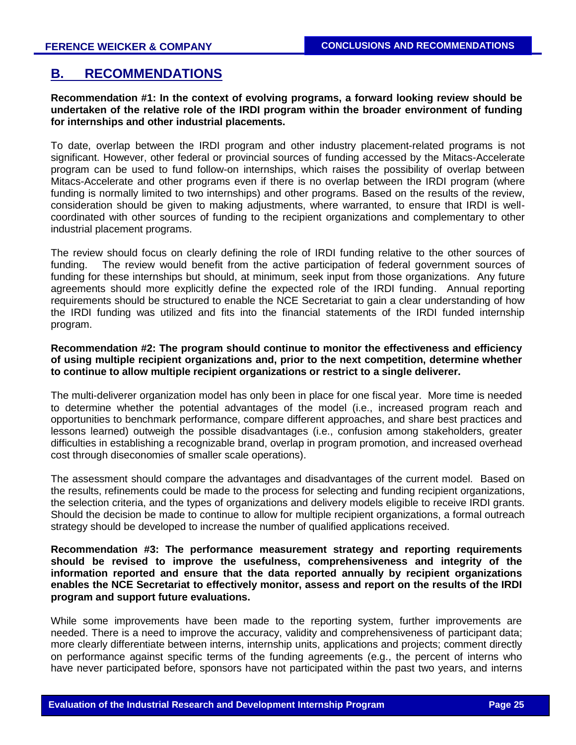# **B. RECOMMENDATIONS**

## **Recommendation #1: In the context of evolving programs, a forward looking review should be undertaken of the relative role of the IRDI program within the broader environment of funding for internships and other industrial placements.**

To date, overlap between the IRDI program and other industry placement-related programs is not significant. However, other federal or provincial sources of funding accessed by the Mitacs-Accelerate program can be used to fund follow-on internships, which raises the possibility of overlap between Mitacs-Accelerate and other programs even if there is no overlap between the IRDI program (where funding is normally limited to two internships) and other programs. Based on the results of the review, consideration should be given to making adjustments, where warranted, to ensure that IRDI is wellcoordinated with other sources of funding to the recipient organizations and complementary to other industrial placement programs.

The review should focus on clearly defining the role of IRDI funding relative to the other sources of funding. The review would benefit from the active participation of federal government sources of funding for these internships but should, at minimum, seek input from those organizations. Any future agreements should more explicitly define the expected role of the IRDI funding. Annual reporting requirements should be structured to enable the NCE Secretariat to gain a clear understanding of how the IRDI funding was utilized and fits into the financial statements of the IRDI funded internship program.

## **Recommendation #2: The program should continue to monitor the effectiveness and efficiency of using multiple recipient organizations and, prior to the next competition, determine whether to continue to allow multiple recipient organizations or restrict to a single deliverer.**

The multi-deliverer organization model has only been in place for one fiscal year. More time is needed to determine whether the potential advantages of the model (i.e., increased program reach and opportunities to benchmark performance, compare different approaches, and share best practices and lessons learned) outweigh the possible disadvantages (i.e., confusion among stakeholders, greater difficulties in establishing a recognizable brand, overlap in program promotion, and increased overhead cost through diseconomies of smaller scale operations).

The assessment should compare the advantages and disadvantages of the current model. Based on the results, refinements could be made to the process for selecting and funding recipient organizations, the selection criteria, and the types of organizations and delivery models eligible to receive IRDI grants. Should the decision be made to continue to allow for multiple recipient organizations, a formal outreach strategy should be developed to increase the number of qualified applications received.

## **Recommendation #3: The performance measurement strategy and reporting requirements should be revised to improve the usefulness, comprehensiveness and integrity of the information reported and ensure that the data reported annually by recipient organizations enables the NCE Secretariat to effectively monitor, assess and report on the results of the IRDI program and support future evaluations.**

While some improvements have been made to the reporting system, further improvements are needed. There is a need to improve the accuracy, validity and comprehensiveness of participant data; more clearly differentiate between interns, internship units, applications and projects; comment directly on performance against specific terms of the funding agreements (e.g., the percent of interns who have never participated before, sponsors have not participated within the past two years, and interns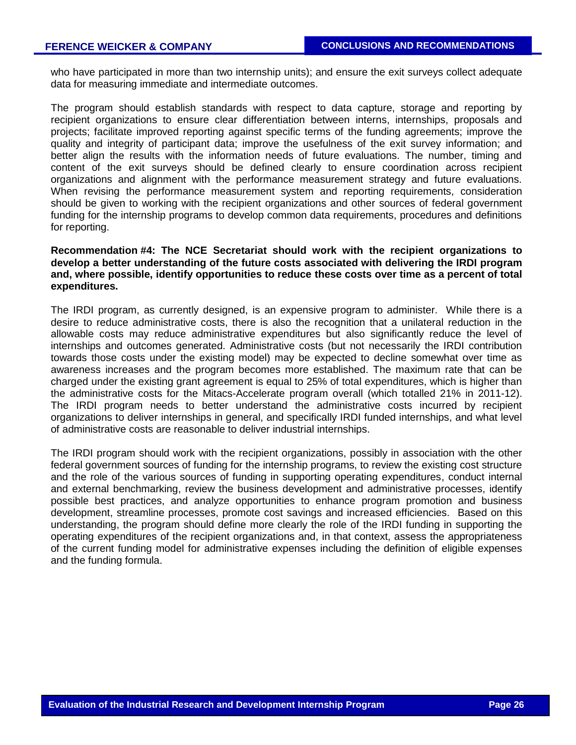who have participated in more than two internship units); and ensure the exit surveys collect adequate data for measuring immediate and intermediate outcomes.

The program should establish standards with respect to data capture, storage and reporting by recipient organizations to ensure clear differentiation between interns, internships, proposals and projects; facilitate improved reporting against specific terms of the funding agreements; improve the quality and integrity of participant data; improve the usefulness of the exit survey information; and better align the results with the information needs of future evaluations. The number, timing and content of the exit surveys should be defined clearly to ensure coordination across recipient organizations and alignment with the performance measurement strategy and future evaluations. When revising the performance measurement system and reporting requirements, consideration should be given to working with the recipient organizations and other sources of federal government funding for the internship programs to develop common data requirements, procedures and definitions for reporting.

## **Recommendation #4: The NCE Secretariat should work with the recipient organizations to develop a better understanding of the future costs associated with delivering the IRDI program and, where possible, identify opportunities to reduce these costs over time as a percent of total expenditures.**

The IRDI program, as currently designed, is an expensive program to administer. While there is a desire to reduce administrative costs, there is also the recognition that a unilateral reduction in the allowable costs may reduce administrative expenditures but also significantly reduce the level of internships and outcomes generated. Administrative costs (but not necessarily the IRDI contribution towards those costs under the existing model) may be expected to decline somewhat over time as awareness increases and the program becomes more established. The maximum rate that can be charged under the existing grant agreement is equal to 25% of total expenditures, which is higher than the administrative costs for the Mitacs-Accelerate program overall (which totalled 21% in 2011-12). The IRDI program needs to better understand the administrative costs incurred by recipient organizations to deliver internships in general, and specifically IRDI funded internships, and what level of administrative costs are reasonable to deliver industrial internships.

The IRDI program should work with the recipient organizations, possibly in association with the other federal government sources of funding for the internship programs, to review the existing cost structure and the role of the various sources of funding in supporting operating expenditures, conduct internal and external benchmarking, review the business development and administrative processes, identify possible best practices, and analyze opportunities to enhance program promotion and business development, streamline processes, promote cost savings and increased efficiencies. Based on this understanding, the program should define more clearly the role of the IRDI funding in supporting the operating expenditures of the recipient organizations and, in that context, assess the appropriateness of the current funding model for administrative expenses including the definition of eligible expenses and the funding formula.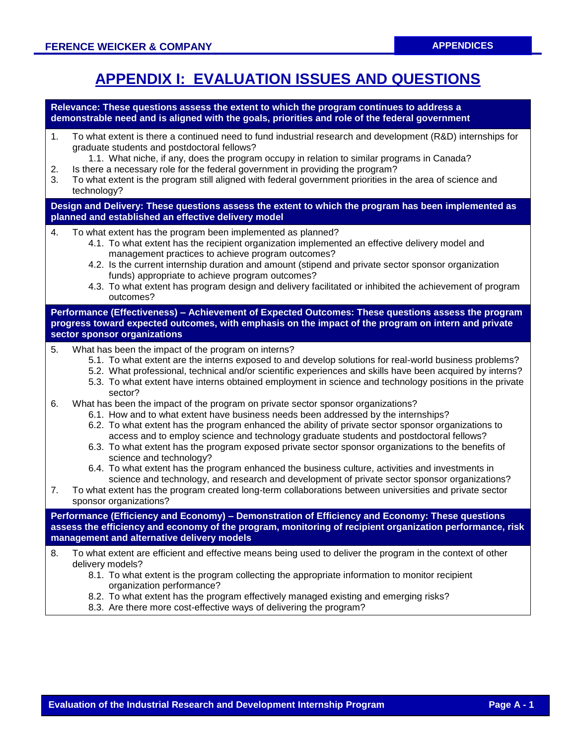# **APPENDIX I: EVALUATION ISSUES AND QUESTIONS**

**Relevance: These questions assess the extent to which the program continues to address a demonstrable need and is aligned with the goals, priorities and role of the federal government**

- 1. To what extent is there a continued need to fund industrial research and development (R&D) internships for graduate students and postdoctoral fellows?
	- 1.1. What niche, if any, does the program occupy in relation to similar programs in Canada?
- 2. Is there a necessary role for the federal government in providing the program?
- 3. To what extent is the program still aligned with federal government priorities in the area of science and technology?

**Design and Delivery: These questions assess the extent to which the program has been implemented as planned and established an effective delivery model**

- 4. To what extent has the program been implemented as planned?
	- 4.1. To what extent has the recipient organization implemented an effective delivery model and management practices to achieve program outcomes?
	- 4.2. Is the current internship duration and amount (stipend and private sector sponsor organization funds) appropriate to achieve program outcomes?
	- 4.3. To what extent has program design and delivery facilitated or inhibited the achievement of program outcomes?

**Performance (Effectiveness) – Achievement of Expected Outcomes: These questions assess the program progress toward expected outcomes, with emphasis on the impact of the program on intern and private sector sponsor organizations**

- 5. What has been the impact of the program on interns?
	- 5.1. To what extent are the interns exposed to and develop solutions for real-world business problems?
	- 5.2. What professional, technical and/or scientific experiences and skills have been acquired by interns?
	- 5.3. To what extent have interns obtained employment in science and technology positions in the private sector?
- 6. What has been the impact of the program on private sector sponsor organizations?
	- 6.1. How and to what extent have business needs been addressed by the internships?
	- 6.2. To what extent has the program enhanced the ability of private sector sponsor organizations to access and to employ science and technology graduate students and postdoctoral fellows?
	- 6.3. To what extent has the program exposed private sector sponsor organizations to the benefits of science and technology?
	- 6.4. To what extent has the program enhanced the business culture, activities and investments in science and technology, and research and development of private sector sponsor organizations?
- 7. To what extent has the program created long-term collaborations between universities and private sector sponsor organizations?

**Performance (Efficiency and Economy) – Demonstration of Efficiency and Economy: These questions assess the efficiency and economy of the program, monitoring of recipient organization performance, risk management and alternative delivery models**

- 8. To what extent are efficient and effective means being used to deliver the program in the context of other delivery models?
	- 8.1. To what extent is the program collecting the appropriate information to monitor recipient organization performance?
	- 8.2. To what extent has the program effectively managed existing and emerging risks?
	- 8.3. Are there more cost-effective ways of delivering the program?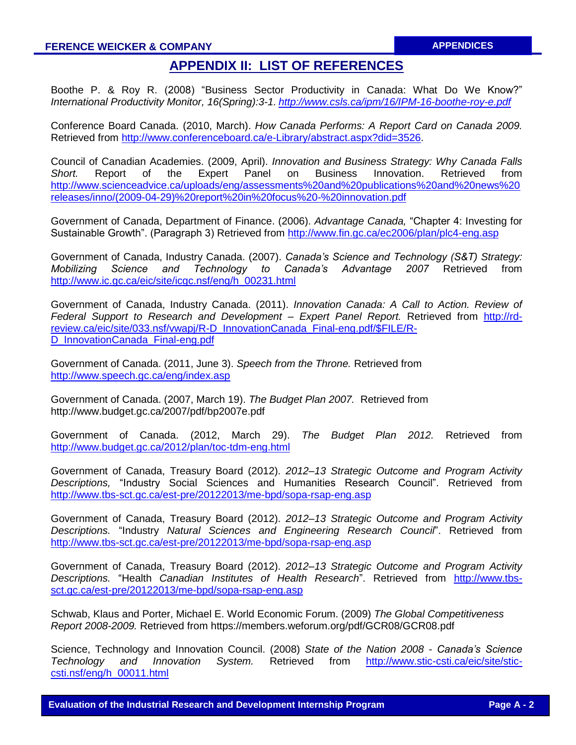# **APPENDIX II: LIST OF REFERENCES**

Boothe P. & Roy R. (2008) "Business Sector Productivity in Canada: What Do We Know?" *International Productivity Monitor, 16(Spring):3-1. <http://www.csls.ca/ipm/16/IPM-16-boothe-roy-e.pdf>*

Conference Board Canada. (2010, March). *How Canada Performs: A Report Card on Canada 2009.*  Retrieved from [http://www.conferenceboard.ca/e-Library/abstract.aspx?did=3526.](http://www.conferenceboard.ca/e-Library/abstract.aspx?did=3526)

Council of Canadian Academies. (2009, April). *Innovation and Business Strategy: Why Canada Falls Short.* Report of the Expert Panel on Business Innovation. Retrieved from [http://www.scienceadvice.ca/uploads/eng/assessments%20and%20publications%20and%20news%20](http://www.scienceadvice.ca/uploads/eng/assessments%20and%20publications%20and%20news%20releases/inno/(2009-04-29)%20report%20in%20focus%20-%20innovation.pdf) [releases/inno/\(2009-04-29\)%20report%20in%20focus%20-%20innovation.pdf](http://www.scienceadvice.ca/uploads/eng/assessments%20and%20publications%20and%20news%20releases/inno/(2009-04-29)%20report%20in%20focus%20-%20innovation.pdf)

Government of Canada, Department of Finance. (2006). *Advantage Canada,* "Chapter 4: Investing for Sustainable Growth". (Paragraph 3) Retrieved from<http://www.fin.gc.ca/ec2006/plan/plc4-eng.asp>

Government of Canada, Industry Canada. (2007). *Canada's Science and Technology (S&T) Strategy: Mobilizing Science and Technology to Canada's Advantage 2007* Retrieved from [http://www.ic.gc.ca/eic/site/icgc.nsf/eng/h\\_00231.html](http://www.ic.gc.ca/eic/site/icgc.nsf/eng/h_00231.html)

Government of Canada, Industry Canada. (2011). *Innovation Canada: A Call to Action. Review of Federal Support to Research and Development – Expert Panel Report.* Retrieved from [http://rd](http://rd-review.ca/eic/site/033.nsf/vwapj/R-D_InnovationCanada_Final-eng.pdf/$FILE/R-D_InnovationCanada_Final-eng.pdf)[review.ca/eic/site/033.nsf/vwapj/R-D\\_InnovationCanada\\_Final-eng.pdf/\\$FILE/R-](http://rd-review.ca/eic/site/033.nsf/vwapj/R-D_InnovationCanada_Final-eng.pdf/$FILE/R-D_InnovationCanada_Final-eng.pdf)[D\\_InnovationCanada\\_Final-eng.pdf](http://rd-review.ca/eic/site/033.nsf/vwapj/R-D_InnovationCanada_Final-eng.pdf/$FILE/R-D_InnovationCanada_Final-eng.pdf)

Government of Canada. (2011, June 3). *Speech from the Throne.* Retrieved from <http://www.speech.gc.ca/eng/index.asp>

Government of Canada. (2007, March 19). *The Budget Plan 2007.* Retrieved from http://www.budget.gc.ca/2007/pdf/bp2007e.pdf

Government of Canada. (2012, March 29). *The Budget Plan 2012.* Retrieved from <http://www.budget.gc.ca/2012/plan/toc-tdm-eng.html>

Government of Canada, Treasury Board (2012). *2012–13 Strategic Outcome and Program Activity Descriptions,* "Industry Social Sciences and Humanities Research Council". Retrieved from <http://www.tbs-sct.gc.ca/est-pre/20122013/me-bpd/sopa-rsap-eng.asp>

Government of Canada, Treasury Board (2012). *2012–13 Strategic Outcome and Program Activity Descriptions.* "Industry *Natural Sciences and Engineering Research Council*". Retrieved from <http://www.tbs-sct.gc.ca/est-pre/20122013/me-bpd/sopa-rsap-eng.asp>

Government of Canada, Treasury Board (2012). *2012–13 Strategic Outcome and Program Activity Descriptions.* "Health *Canadian Institutes of Health Research*". Retrieved from [http://www.tbs](http://www.tbs-sct.gc.ca/est-pre/20122013/me-bpd/sopa-rsap-eng.asp)[sct.gc.ca/est-pre/20122013/me-bpd/sopa-rsap-eng.asp](http://www.tbs-sct.gc.ca/est-pre/20122013/me-bpd/sopa-rsap-eng.asp)

Schwab, Klaus and Porter, Michael E. World Economic Forum. (2009) *The Global Competitiveness Report 2008-2009.* Retrieved from https://members.weforum.org/pdf/GCR08/GCR08.pdf

Science, Technology and Innovation Council. (2008) *State of the Nation 2008 - Canada's Science Technology and Innovation System.* Retrieved from [http://www.stic-csti.ca/eic/site/stic](http://www.stic-csti.ca/eic/site/stic-csti.nsf/eng/h_00011.html)[csti.nsf/eng/h\\_00011.html](http://www.stic-csti.ca/eic/site/stic-csti.nsf/eng/h_00011.html)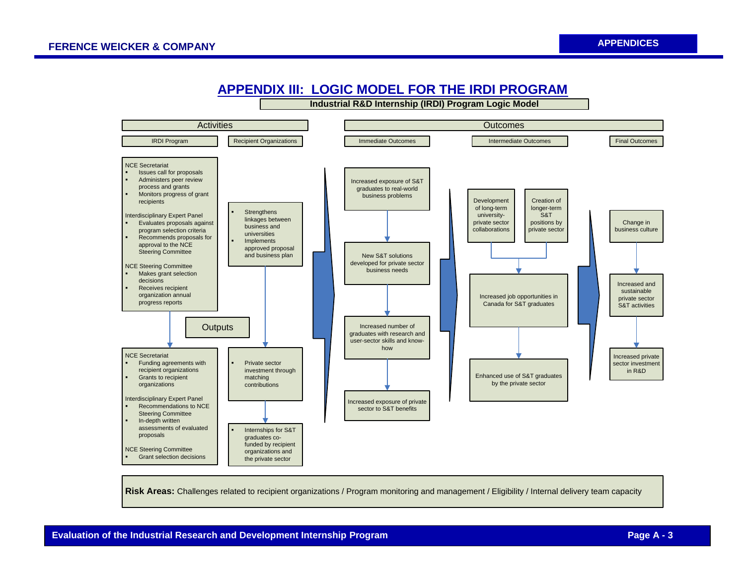

# **APPENDIX III: LOGIC MODEL FOR THE IRDI PROGRAM**

**Risk Areas:** Challenges related to recipient organizations / Program monitoring and management / Eligibility / Internal delivery team capacity